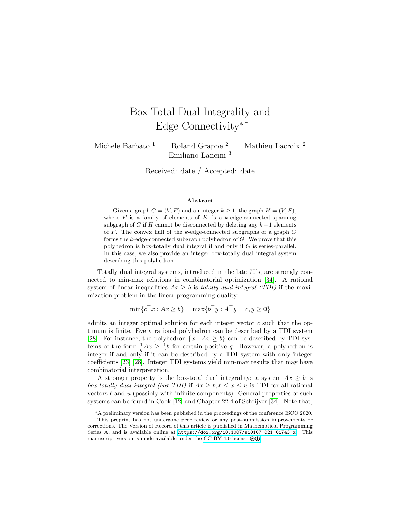# Box-Total Dual Integrality and Edge-Connectivity∗ †

Michele Barbato<sup>1</sup> Roland Grappe<sup>2</sup> Mathieu Lacroix<sup>2</sup> Emiliano Lancini <sup>3</sup>

Received: date / Accepted: date

#### Abstract

Given a graph  $G = (V, E)$  and an integer  $k \geq 1$ , the graph  $H = (V, F)$ , where  $F$  is a family of elements of  $E$ , is a k-edge-connected spanning subgraph of G if H cannot be disconnected by deleting any  $k-1$  elements of  $F$ . The convex hull of the k-edge-connected subgraphs of a graph  $G$ forms the  $k$ -edge-connected subgraph polyhedron of  $G$ . We prove that this polyhedron is box-totally dual integral if and only if G is series-parallel. In this case, we also provide an integer box-totally dual integral system describing this polyhedron.

Totally dual integral systems, introduced in the late 70's, are strongly connected to min-max relations in combinatorial optimization [\[34\]](#page-30-0). A rational system of linear inequalities  $Ax \geq b$  is totally dual integral (TDI) if the maximization problem in the linear programming duality:

 $\min\{c^\top x : Ax \geq b\} = \max\{b^\top y : A^\top y = c, y \geq \mathbf{0}\}\$ 

admits an integer optimal solution for each integer vector  $c$  such that the optimum is finite. Every rational polyhedron can be described by a TDI system [\[28\]](#page-29-0). For instance, the polyhedron  $\{x : Ax \geq b\}$  can be described by TDI systems of the form  $\frac{1}{q}Ax \geq \frac{1}{q}b$  for certain positive q. However, a polyhedron is integer if and only if it can be described by a TDI system with only integer coefficients [\[23\]](#page-29-1) [\[28\]](#page-29-0). Integer TDI systems yield min-max results that may have combinatorial interpretation.

A stronger property is the box-total dual integrality: a system  $Ax \geq b$  is box-totally dual integral (box-TDI) if  $Ax \geq b, \ell \leq x \leq u$  is TDI for all rational vectors  $\ell$  and u (possibly with infinite components). General properties of such systems can be found in Cook [\[12\]](#page-28-0) and Chapter 22.4 of Schrijver [\[34\]](#page-30-0). Note that,

<sup>∗</sup>A preliminary version has been published in the proceedings of the conference ISCO 2020.

<sup>†</sup>This preprint has not undergone peer review or any post-submission improvements or corrections. The Version of Record of this article is published in Mathematical Programming Series A, and is available online at <https://doi.org/10.1007/s10107-021-01743-x>. This manuscript version is made available under the [CC-BY 4.0 license](http://creativecommons.org/licenses/by/4.0/)  $\circledast \mathbf{0}$ .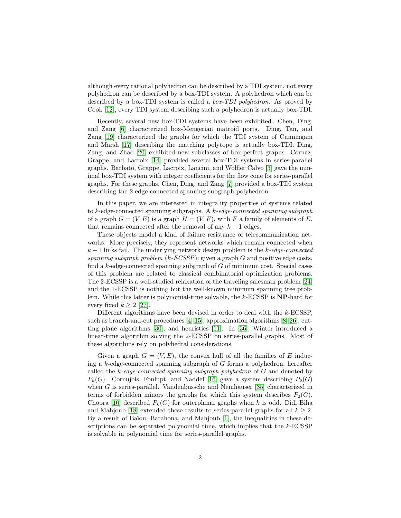although every rational polyhedron can be described by a TDI system, not every polyhedron can be described by a box-TDI system. A polyhedron which can be described by a box-TDI system is called a *box-TDI polyhedron*. As proved by Cook [\[12\]](#page-28-0), every TDI system describing such a polyhedron is actually box-TDI.

Recently, several new box-TDI systems have been exhibited. Chen, Ding, and Zang [\[6\]](#page-28-1) characterized box-Mengerian matroid ports. Ding, Tan, and Zang [\[19\]](#page-29-2) characterized the graphs for which the TDI system of Cunningam and Marsh [\[17\]](#page-29-3) describing the matching polytope is actually box-TDI. Ding, Zang, and Zhao [\[20\]](#page-29-4) exhibited new subclasses of box-perfect graphs. Cornaz, Grappe, and Lacroix [\[14\]](#page-28-2) provided several box-TDI systems in series-parallel graphs. Barbato, Grappe, Lacroix, Lancini, and Wolfler Calvo [\[3\]](#page-28-3) gave the minimal box-TDI system with integer coefficients for the flow cone for series-parallel graphs. For these graphs, Chen, Ding, and Zang [\[7\]](#page-28-4) provided a box-TDI system describing the 2-edge-connected spanning subgraph polyhedron.

In this paper, we are interested in integrality properties of systems related to  $k$ -edge-connected spanning subgraphs. A  $k$ -edge-connected spanning subgraph of a graph  $G = (V, E)$  is a graph  $H = (V, F)$ , with F a family of elements of E, that remains connected after the removal of any  $k - 1$  edges.

These objects model a kind of failure resistance of telecommunication networks. More precisely, they represent networks which remain connected when  $k-1$  links fail. The underlying network design problem is the k-edge-connected spanning subgraph problem  $(k \text{-} ECSSP)$ : given a graph G and positive edge costs, find a  $k$ -edge-connected spanning subgraph of  $G$  of minimum cost. Special cases of this problem are related to classical combinatorial optimization problems. The 2-ECSSP is a well-studied relaxation of the traveling salesman problem [\[24\]](#page-29-5) and the 1-ECSSP is nothing but the well-known minimum spanning tree problem. While this latter is polynomial-time solvable, the k-ECSSP is NP-hard for every fixed  $k \geq 2$  [\[27\]](#page-29-6).

Different algorithms have been devised in order to deal with the k-ECSSP, such as branch-and-cut procedures [\[4\]](#page-28-5)[\[15\]](#page-28-6), approximation algorithms [\[8\]](#page-28-7)[\[26\]](#page-29-7), cutting plane algorithms [\[30\]](#page-30-1), and heuristics [\[11\]](#page-28-8). In [\[36\]](#page-30-2), Winter introduced a linear-time algorithm solving the 2-ECSSP on series-parallel graphs. Most of these algorithms rely on polyhedral considerations.

Given a graph  $G = (V, E)$ , the convex hull of all the families of E inducing a  $k$ -edge-connected spanning subgraph of  $G$  forms a polyhedron, hereafter called the  $k$ -edge-connected spanning subgraph polyhedron of  $G$  and denoted by  $P_k(G)$ . Cornujols, Fonlupt, and Naddef [\[16\]](#page-29-8) gave a system describing  $P_2(G)$ when G is series-parallel. Vandenbussche and Nemhauser [\[35\]](#page-30-3) characterized in terms of forbidden minors the graphs for which this system describes  $P_2(G)$ . Chopra [\[10\]](#page-28-9) described  $P_k(G)$  for outerplanar graphs when k is odd. Didi Biha and Mahjoub [\[18\]](#page-29-9) extended these results to series-parallel graphs for all  $k \geq 2$ . By a result of Baïou, Barahona, and Mahjoub [\[1\]](#page-27-0), the inequalities in these descriptions can be separated polynomial time, which implies that the  $k$ -ECSSP is solvable in polynomial time for series-parallel graphs.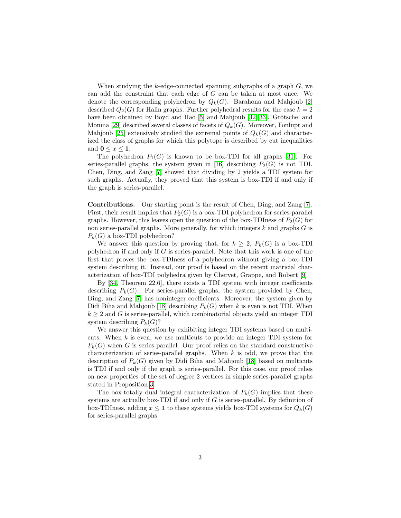When studying the k-edge-connected spanning subgraphs of a graph  $G$ , we can add the constraint that each edge of G can be taken at most once. We denote the corresponding polyhedron by  $Q_k(G)$ . Barahona and Mahjoub [\[2\]](#page-28-10) described  $Q_2(G)$  for Halin graphs. Further polyhedral results for the case  $k = 2$ have been obtained by Boyd and Hao [\[5\]](#page-28-11) and Mahjoub [\[32\]](#page-30-4)[\[33\]](#page-30-5). Grötschel and Monma [\[29\]](#page-29-10) described several classes of facets of  $Q_k(G)$ . Moreover, Fonlupt and Mahjoub [\[25\]](#page-29-11) extensively studied the extremal points of  $Q_k(G)$  and characterized the class of graphs for which this polytope is described by cut inequalities and  $0 \leq x \leq 1$ .

The polyhedron  $P_1(G)$  is known to be box-TDI for all graphs [\[31\]](#page-30-6). For series-parallel graphs, the system given in [\[16\]](#page-29-8) describing  $P_2(G)$  is not TDI. Chen, Ding, and Zang [\[7\]](#page-28-4) showed that dividing by 2 yields a TDI system for such graphs. Actually, they proved that this system is box-TDI if and only if the graph is series-parallel.

Contributions. Our starting point is the result of Chen, Ding, and Zang [\[7\]](#page-28-4). First, their result implies that  $P_2(G)$  is a box-TDI polyhedron for series-parallel graphs. However, this leaves open the question of the box-TDIness of  $P_2(G)$  for non series-parallel graphs. More generally, for which integers  $k$  and graphs  $G$  is  $P_k(G)$  a box-TDI polyhedron?

We answer this question by proving that, for  $k \geq 2$ ,  $P_k(G)$  is a box-TDI polyhedron if and only if  $G$  is series-parallel. Note that this work is one of the first that proves the box-TDIness of a polyhedron without giving a box-TDI system describing it. Instead, our proof is based on the recent matricial characterization of box-TDI polyhedra given by Chervet, Grappe, and Robert [\[9\]](#page-28-12).

By [\[34,](#page-30-0) Theorem 22.6], there exists a TDI system with integer coefficients describing  $P_k(G)$ . For series-parallel graphs, the system provided by Chen, Ding, and Zang [\[7\]](#page-28-4) has noninteger coefficients. Moreover, the system given by Didi Biha and Mahjoub [\[18\]](#page-29-9) describing  $P_k(G)$  when k is even is not TDI. When  $k \geq 2$  and G is series-parallel, which combinatorial objects yield an integer TDI system describing  $P_k(G)$ ?

We answer this question by exhibiting integer TDI systems based on multicuts. When  $k$  is even, we use multicuts to provide an integer TDI system for  $P_k(G)$  when G is series-parallel. Our proof relies on the standard constructive characterization of series-parallel graphs. When  $k$  is odd, we prove that the description of  $P_k(G)$  given by Didi Biha and Mahjoub [\[18\]](#page-29-9) based on multicuts is TDI if and only if the graph is series-parallel. For this case, our proof relies on new properties of the set of degree 2 vertices in simple series-parallel graphs stated in Proposition [3.](#page-4-0)

The box-totally dual integral characterization of  $P_k(G)$  implies that these systems are actually box-TDI if and only if  $G$  is series-parallel. By definition of box-TDIness, adding  $x \leq 1$  to these systems yields box-TDI systems for  $Q_k(G)$ for series-parallel graphs.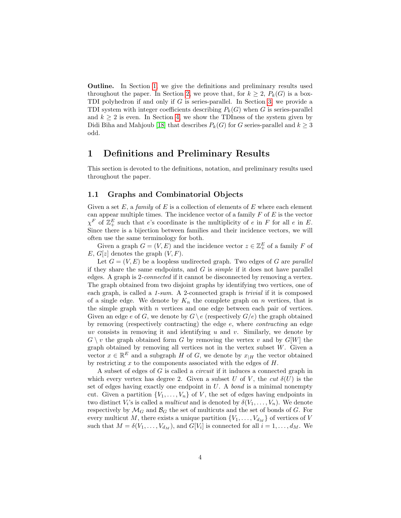Outline. In Section [1,](#page-3-0) we give the definitions and preliminary results used throughout the paper. In Section [2,](#page-7-0) we prove that, for  $k \geq 2$ ,  $P_k(G)$  is a box-TDI polyhedron if and only if G is series-parallel. In Section [3,](#page-12-0) we provide a TDI system with integer coefficients describing  $P_k(G)$  when G is series-parallel and  $k \geq 2$  is even. In Section [4,](#page-15-0) we show the TDIness of the system given by Didi Biha and Mahjoub [\[18\]](#page-29-9) that describes  $P_k(G)$  for G series-parallel and  $k \geq 3$ odd.

### <span id="page-3-0"></span>1 Definitions and Preliminary Results

This section is devoted to the definitions, notation, and preliminary results used throughout the paper.

#### 1.1 Graphs and Combinatorial Objects

Given a set E, a family of E is a collection of elements of E where each element can appear multiple times. The incidence vector of a family  $F$  of  $E$  is the vector  $\chi^F$  of  $\mathbb{Z}_+^E$  such that e's coordinate is the multiplicity of e in F for all e in E. Since there is a bijection between families and their incidence vectors, we will often use the same terminology for both.

Given a graph  $G = (V, E)$  and the incidence vector  $z \in \mathbb{Z}_+^E$  of a family F of E,  $G[z]$  denotes the graph  $(V, F)$ .

Let  $G = (V, E)$  be a loopless undirected graph. Two edges of G are parallel if they share the same endpoints, and  $G$  is *simple* if it does not have parallel edges. A graph is 2-connected if it cannot be disconnected by removing a vertex. The graph obtained from two disjoint graphs by identifying two vertices, one of each graph, is called a 1-sum. A 2-connected graph is trivial if it is composed of a single edge. We denote by  $K_n$  the complete graph on n vertices, that is the simple graph with  $n$  vertices and one edge between each pair of vertices. Given an edge e of G, we denote by  $G \backslash e$  (respectively  $G/e$ ) the graph obtained by removing (respectively contracting) the edge e, where contracting an edge uv consists in removing it and identifying  $u$  and  $v$ . Similarly, we denote by  $G \setminus v$  the graph obtained form G by removing the vertex v and by  $G[W]$  the graph obtained by removing all vertices not in the vertex subset  $W$ . Given a vector  $x \in \mathbb{R}^E$  and a subgraph H of G, we denote by  $x_{|H}$  the vector obtained by restricting  $x$  to the components associated with the edges of  $H$ .

A subset of edges of G is called a circuit if it induces a connected graph in which every vertex has degree 2. Given a subset U of V, the cut  $\delta(U)$  is the set of edges having exactly one endpoint in  $U$ . A bond is a minimal nonempty cut. Given a partition  $\{V_1, \ldots, V_n\}$  of V, the set of edges having endpoints in two distinct  $V_i$ 's is called a *multicut* and is denoted by  $\delta(V_1, \ldots, V_n)$ . We denote respectively by  $\mathcal{M}_G$  and  $\mathcal{B}_G$  the set of multicuts and the set of bonds of G. For every multicut M, there exists a unique partition  $\{V_1, \ldots, V_{d_M}\}$  of vertices of V such that  $M = \delta(V_1, \ldots, V_{d_M})$ , and  $G[V_i]$  is connected for all  $i = 1, \ldots, d_M$ . We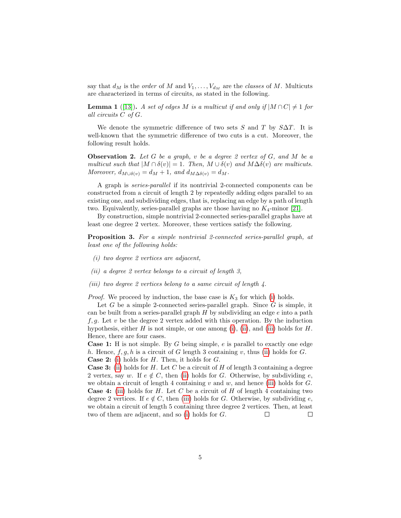say that  $d_M$  is the *order* of M and  $V_1, \ldots, V_{d_M}$  are the *classes* of M. Multicuts are characterized in terms of circuits, as stated in the following.

<span id="page-4-5"></span>**Lemma 1** ([\[13\]](#page-28-13)). A set of edges M is a multicut if and only if  $|M \cap C| \neq 1$  for all circuits C of G.

We denote the symmetric difference of two sets S and T by  $S\Delta T$ . It is well-known that the symmetric difference of two cuts is a cut. Moreover, the following result holds.

<span id="page-4-4"></span>**Observation 2.** Let G be a graph, v be a degree 2 vertex of G, and M be a multicut such that  $|M \cap \delta(v)| = 1$ . Then,  $M \cup \delta(v)$  and  $M \Delta \delta(v)$  are multicuts. Moreover,  $d_{M\cup\delta(v)} = d_M + 1$ , and  $d_{M\Delta\delta(v)} = d_M$ .

A graph is series-parallel if its nontrivial 2-connected components can be constructed from a circuit of length 2 by repeatedly adding edges parallel to an existing one, and subdividing edges, that is, replacing an edge by a path of length two. Equivalently, series-parallel graphs are those having no  $K_4$ -minor [\[21\]](#page-29-12).

By construction, simple nontrivial 2-connected series-parallel graphs have at least one degree 2 vertex. Moreover, these vertices satisfy the following.

<span id="page-4-0"></span>Proposition 3. For a simple nontrivial 2-connected series-parallel graph, at least one of the following holds:

- <span id="page-4-1"></span>(i) two degree 2 vertices are adjacent,
- <span id="page-4-2"></span>(ii) a degree 2 vertex belongs to a circuit of length 3,
- <span id="page-4-3"></span>(iii) two degree 2 vertices belong to a same circuit of length 4.

*Proof.* We proceed by induction, the base case is  $K_3$  for which [\(i\)](#page-4-1) holds.

Let  $G$  be a simple 2-connected series-parallel graph. Since  $G$  is simple, it can be built from a series-parallel graph  $H$  by subdividing an edge  $e$  into a path f, q. Let v be the degree 2 vertex added with this operation. By the induction hypothesis, either H is not simple, or one among [\(i\)](#page-4-1), [\(ii\)](#page-4-2), and [\(iii\)](#page-4-3) holds for H. Hence, there are four cases.

**Case 1:** H is not simple. By G being simple,  $e$  is parallel to exactly one edge h. Hence,  $f, g, h$  is a circuit of G length 3 containing v, thus [\(ii\)](#page-4-2) holds for G. **Case 2:** [\(i\)](#page-4-1) holds for  $H$ . Then, it holds for  $G$ .

**Case 3:** [\(ii\)](#page-4-2) holds for H. Let C be a circuit of H of length 3 containing a degree 2 vertex, say w. If  $e \notin C$ , then [\(ii\)](#page-4-2) holds for G. Otherwise, by subdividing e, we obtain a circuit of length 4 containing v and w, and hence [\(iii\)](#page-4-3) holds for  $G$ . **Case 4:** [\(iii\)](#page-4-3) holds for H. Let C be a circuit of H of length 4 containing two degree 2 vertices. If  $e \notin C$ , then [\(iii\)](#page-4-3) holds for G. Otherwise, by subdividing e, we obtain a circuit of length 5 containing three degree 2 vertices. Then, at least two of them are adjacent, and so [\(i\)](#page-4-1) holds for G.  $\Box$  $\Box$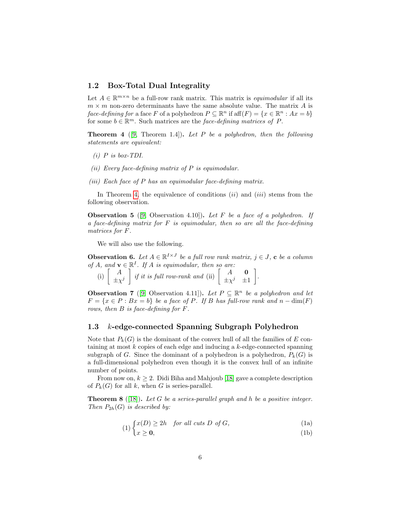#### 1.2 Box-Total Dual Integrality

Let  $A \in \mathbb{R}^{m \times n}$  be a full-row rank matrix. This matrix is *equimodular* if all its  $m \times m$  non-zero determinants have the same absolute value. The matrix A is face-defining for a face F of a polyhedron  $P \subseteq \mathbb{R}^n$  if  $aff(F) = \{x \in \mathbb{R}^n : Ax = b\}$ for some  $b \in \mathbb{R}^m$ . Such matrices are the *face-defining matrices of P*.

<span id="page-5-0"></span>**Theorem 4** ([\[9,](#page-28-12) Theorem 1.4]). Let P be a polyhedron, then the following statements are equivalent:

- $(i)$  P is box-TDI.
- <span id="page-5-1"></span>(ii) Every face-defining matrix of  $P$  is equimodular.
- (iii) Each face of  $P$  has an equimodular face-defining matrix.

In Theorem [4,](#page-5-0) the equivalence of conditions  $(ii)$  and  $(iii)$  stems from the following observation.

<span id="page-5-4"></span>**Observation 5** ([\[9,](#page-28-12) Observation 4.10]). Let F be a face of a polyhedron. If a face-defining matrix for  $F$  is equimodular, then so are all the face-defining matrices for F.

We will also use the following.

<span id="page-5-3"></span>**Observation 6.** Let  $A \in \mathbb{R}^{I \times J}$  be a full row rank matrix,  $j \in J$ , c be a column of A, and  $\mathbf{v} \in \mathbb{R}^I$ . If A is equimodular, then so are:

|  | (i) $\begin{bmatrix} A \\ \pm \chi^j \end{bmatrix}$ if it is full row-rank and (ii) $\begin{bmatrix} A & \mathbf{0} \\ \pm \chi^j & \pm 1 \end{bmatrix}$ . |  |  |  |  |
|--|------------------------------------------------------------------------------------------------------------------------------------------------------------|--|--|--|--|
|--|------------------------------------------------------------------------------------------------------------------------------------------------------------|--|--|--|--|

<span id="page-5-2"></span>**Observation 7** ([\[9,](#page-28-12) Observation 4.11]). Let  $P \subseteq \mathbb{R}^n$  be a polyhedron and let  $F = \{x \in P : Bx = b\}$  be a face of P. If B has full-row rank and  $n - \dim(F)$ rows, then B is face-defining for F.

#### 1.3 k-edge-connected Spanning Subgraph Polyhedron

Note that  $P_k(G)$  is the dominant of the convex hull of all the families of E containing at most  $k$  copies of each edge and inducing a  $k$ -edge-connected spanning subgraph of G. Since the dominant of a polyhedron is a polyhedron,  $P_k(G)$  is a full-dimensional polyhedron even though it is the convex hull of an infinite number of points.

From now on,  $k \geq 2$ . Didi Biha and Mahjoub [\[18\]](#page-29-9) gave a complete description of  $P_k(G)$  for all k, when G is series-parallel.

**Theorem 8** ([\[18\]](#page-29-9)). Let G be a series-parallel graph and h be a positive integer. Then  $P_{2h}(G)$  is described by:

$$
(1) \begin{cases} x(D) \ge 2h & \text{for all cuts } D \text{ of } G, \\ 0 & \text{otherwise} \end{cases}
$$

<span id="page-5-5"></span>
$$
\left(1\right) \left(1\right) \tag{1b}
$$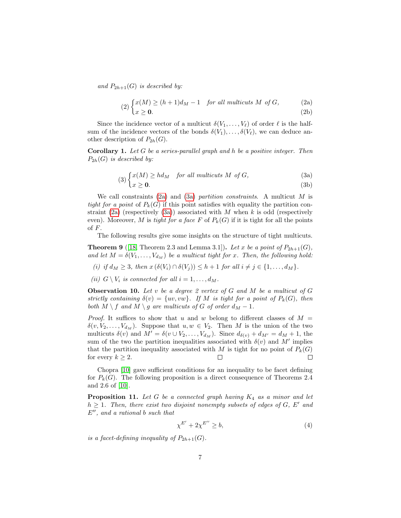and  $P_{2h+1}(G)$  is described by:

<span id="page-6-6"></span><span id="page-6-0"></span>(2) 
$$
\begin{cases} x(M) \ge (h+1)d_M - 1 & \text{for all multis} \ M \ \text{of } G, \\ x \ge 0. \end{cases}
$$
 (2a) (2b)

Since the incidence vector of a multicut  $\delta(V_1, \ldots, V_\ell)$  of order  $\ell$  is the halfsum of the incidence vectors of the bonds  $\delta(V_1), \ldots, \delta(V_\ell)$ , we can deduce another description of  $P_{2h}(G)$ .

**Corollary 1.** Let  $G$  be a series-parallel graph and  $h$  be a positive integer. Then  $P_{2h}(G)$  is described by:

$$
(3)\begin{cases}x(M) \ge hd_M & \text{for all multicast } M \text{ of } G,\end{cases} (3a)
$$

<span id="page-6-5"></span><span id="page-6-1"></span>
$$
\sqrt{2}x \ge 0. \tag{3b}
$$

We call constraints  $(2a)$  and  $(3a)$  partition constraints. A multicut M is tight for a point of  $P_k(G)$  if this point satisfies with equality the partition con-straint [\(2a\)](#page-6-0) (respectively [\(3a\)](#page-6-1)) associated with  $M$  when  $k$  is odd (respectively even). Moreover, M is tight for a face F of  $P_k(G)$  if it is tight for all the points of F.

The following results give some insights on the structure of tight multicuts.

<span id="page-6-3"></span>**Theorem 9** ([\[18,](#page-29-9) Theorem 2.3 and Lemma 3.1]). Let x be a point of  $P_{2h+1}(G)$ , and let  $M = \delta(V_1, \ldots, V_{d_M})$  be a multicut tight for x. Then, the following hold:

- (i) if  $d_M \geq 3$ , then  $x(\delta(V_i) \cap \delta(V_j)) \leq h+1$  for all  $i \neq j \in \{1, \ldots, d_M\}.$
- <span id="page-6-7"></span>(ii)  $G \setminus V_i$  is connected for all  $i = 1, \ldots, d_M$ .

<span id="page-6-4"></span>**Observation 10.** Let v be a degree 2 vertex of  $G$  and  $M$  be a multicut of  $G$ strictly containing  $\delta(v) = \{uv, vw\}$ . If M is tight for a point of  $P_k(G)$ , then both  $M \setminus f$  and  $M \setminus g$  are multicuts of G of order  $d_M - 1$ .

*Proof.* It suffices to show that u and w belong to different classes of  $M =$  $\delta(v, V_2, \ldots, V_{d_M})$ . Suppose that  $u, w \in V_2$ . Then M is the union of the two multicuts  $\delta(v)$  and  $M' = \delta(v \cup V_2, \ldots, V_{d_M})$ . Since  $d_{\delta(v)} + d_{M'} = d_M + 1$ , the sum of the two the partition inequalities associated with  $\delta(v)$  and M' implies that the partition inequality associated with M is tight for no point of  $P_k(G)$ for every  $k \geq 2$ .  $\Box$ □

Chopra [\[10\]](#page-28-9) gave sufficient conditions for an inequality to be facet defining for  $P_k(G)$ . The following proposition is a direct consequence of Theorems 2.4 and 2.6 of [\[10\]](#page-28-9).

<span id="page-6-2"></span>**Proposition 11.** Let G be a connected graph having  $K_4$  as a minor and let  $h \geq 1$ . Then, there exist two disjoint nonempty subsets of edges of G, E' and  $E^{\prime\prime}$ , and a rational b such that

$$
\chi^{E'} + 2\chi^{E''} \ge b,\tag{4}
$$

is a facet-defining inequality of  $P_{2h+1}(G)$ .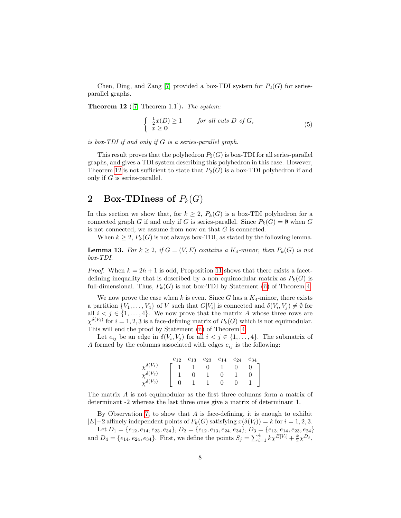Chen, Ding, and Zang [\[7\]](#page-28-4) provided a box-TDI system for  $P_2(G)$  for seriesparallel graphs.

<span id="page-7-1"></span>**Theorem 12** ([\[7,](#page-28-4) Theorem 1.1]). The system:

<span id="page-7-3"></span>
$$
\begin{cases} \frac{1}{2}x(D) \ge 1 & \text{for all cuts } D \text{ of } G, \\ x \ge 0 & \end{cases}
$$
 (5)

is box-TDI if and only if G is a series-parallel graph.

This result proves that the polyhedron  $P_2(G)$  is box-TDI for all series-parallel graphs, and gives a TDI system describing this polyhedron in this case. However, Theorem [12](#page-7-1) is not sufficient to state that  $P_2(G)$  is a box-TDI polyhedron if and only if  $G$  is series-parallel.

## <span id="page-7-0"></span>2 Box-TDIness of  $P_k(G)$

In this section we show that, for  $k \geq 2$ ,  $P_k(G)$  is a box-TDI polyhedron for a connected graph G if and only if G is series-parallel. Since  $P_k(G) = \emptyset$  when G is not connected, we assume from now on that  $G$  is connected.

When  $k \geq 2$ ,  $P_k(G)$  is not always box-TDI, as stated by the following lemma.

<span id="page-7-2"></span>**Lemma 13.** For  $k \geq 2$ , if  $G = (V, E)$  contains a  $K_4$ -minor, then  $P_k(G)$  is not box-TDI.

*Proof.* When  $k = 2h + 1$  is odd, Proposition [11](#page-6-2) shows that there exists a facetdefining inequality that is described by a non equimodular matrix as  $P_k(G)$  is full-dimensional. Thus,  $P_k(G)$  is not box-TDI by Statement [\(ii\)](#page-5-1) of Theorem [4.](#page-5-0)

We now prove the case when k is even. Since G has a  $K_4$ -minor, there exists a partition  $\{V_1, \ldots, V_4\}$  of V such that  $G[V_i]$  is connected and  $\delta(V_i, V_j) \neq \emptyset$  for all  $i < j \in \{1, ..., 4\}$ . We now prove that the matrix A whose three rows are  $\chi^{\delta(V_i)}$  for  $i = 1, 2, 3$  is a face-defining matrix of  $P_k(G)$  which is not equimodular. This will end the proof by Statement [\(ii\)](#page-5-1) of Theorem [4.](#page-5-0)

Let  $e_{ij}$  be an edge in  $\delta(V_i, V_j)$  for all  $i < j \in \{1, ..., 4\}$ . The submatrix of A formed by the columns associated with edges  $e_{ij}$  is the following:

|                                | $e_{12}$ | $e_{13}$ | $e_{23}$ | $e_{14}$ | $e_{24}$ | $e_{34}$ |
|--------------------------------|----------|----------|----------|----------|----------|----------|
| $\gamma^{\delta(V_1)}$         |          |          | $^{(1)}$ |          |          |          |
| $\gamma^{\delta(V_2)}$         |          |          |          |          |          |          |
| $(V_3)$<br>$v^{\delta(\cdot)}$ |          |          |          |          |          |          |

The matrix A is not equimodular as the first three columns form a matrix of determinant -2 whereas the last three ones give a matrix of determinant 1.

By Observation [7,](#page-5-2) to show that  $A$  is face-defining, it is enough to exhibit  $|E|-2$  affinely independent points of  $P_k(G)$  satisfying  $x(\delta(V_i)) = k$  for  $i = 1, 2, 3$ .

Let  $D_1 = \{e_{12}, e_{14}, e_{23}, e_{34}\}, D_2 = \{e_{12}, e_{13}, e_{24}, e_{34}\}, D_3 = \{e_{13}, e_{14}, e_{23}, e_{24}\}$ and  $D_4 = \{e_{14}, e_{24}, e_{34}\}.$  First, we define the points  $S_j = \sum_{i=1}^4 k \chi^{E[V_i]} + \frac{k}{2} \chi^{D_j}$ ,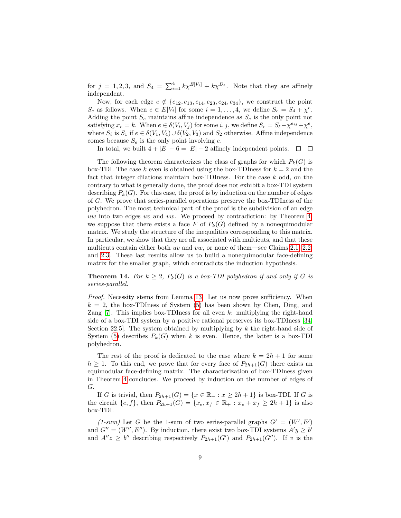for  $j = 1, 2, 3$ , and  $S_4 = \sum_{i=1}^4 k \chi^{E[V_i]} + k \chi^{D_4}$ . Note that they are affinely independent.

Now, for each edge  $e \notin \{e_{12}, e_{13}, e_{14}, e_{23}, e_{24}, e_{34}\}$ , we construct the point  $S_e$  as follows. When  $e \in E[V_i]$  for some  $i = 1, ..., 4$ , we define  $S_e = S_4 + \chi^e$ . Adding the point  $S_e$  maintains affine independence as  $S_e$  is the only point not satisfying  $x_e = k$ . When  $e \in \delta(V_i, V_j)$  for some  $i, j$ , we define  $S_e = S_e - \chi^{e_{ij}} + \chi^e$ , where  $S_{\ell}$  is  $S_1$  if  $e \in \delta(V_1, V_4) \cup \delta(V_2, V_3)$  and  $S_2$  otherwise. Affine independence comes because  $S_e$  is the only point involving e.

In total, we built  $4 + |E| - 6 = |E| - 2$  affinely independent points.  $□ □$ 

The following theorem characterizes the class of graphs for which  $P_k(G)$  is box-TDI. The case k even is obtained using the box-TDIness for  $k = 2$  and the fact that integer dilations maintain box-TDIness. For the case k odd, on the contrary to what is generally done, the proof does not exhibit a box-TDI system describing  $P_k(G)$ . For this case, the proof is by induction on the number of edges of G. We prove that series-parallel operations preserve the box-TDIness of the polyhedron. The most technical part of the proof is the subdivision of an edge uw into two edges uv and vw. We proceed by contradiction: by Theorem [4,](#page-5-0) we suppose that there exists a face F of  $P_k(G)$  defined by a nonequimodular matrix. We study the structure of the inequalities corresponding to this matrix. In particular, we show that they are all associated with multicuts, and that these multicuts contain either both uv and vw, or none of them—see Claims [2.1,](#page-9-0) [2.2,](#page-9-1) and [2.3.](#page-10-0) These last results allow us to build a nonequimodular face-defining matrix for the smaller graph, which contradicts the induction hypothesis.

<span id="page-8-0"></span>**Theorem 14.** For  $k \geq 2$ ,  $P_k(G)$  is a box-TDI polyhedron if and only if G is series-parallel.

Proof. Necessity stems from Lemma [13.](#page-7-2) Let us now prove sufficiency. When  $k = 2$ , the box-TDIness of System [\(5\)](#page-7-3) has been shown by Chen, Ding, and Zang  $[7]$ . This implies box-TDIness for all even k: multiplying the right-hand side of a box-TDI system by a positive rational preserves its box-TDIness [\[34,](#page-30-0) Section 22.5. The system obtained by multiplying by  $k$  the right-hand side of System [\(5\)](#page-7-3) describes  $P_k(G)$  when k is even. Hence, the latter is a box-TDI polyhedron.

The rest of the proof is dedicated to the case where  $k = 2h + 1$  for some  $h \geq 1$ . To this end, we prove that for every face of  $P_{2h+1}(G)$  there exists an equimodular face-defining matrix. The characterization of box-TDIness given in Theorem [4](#page-5-0) concludes. We proceed by induction on the number of edges of G.

If G is trivial, then  $P_{2h+1}(G) = \{x \in \mathbb{R}_+ : x \ge 2h+1\}$  is box-TDI. If G is the circuit  $\{e, f\}$ , then  $P_{2h+1}(G) = \{x_e, x_f \in \mathbb{R}_+ : x_e + x_f \ge 2h + 1\}$  is also box-TDI.

(1-sum) Let G be the 1-sum of two series-parallel graphs  $G' = (W', E')$ and  $G'' = (W'', E'')$ . By induction, there exist two box-TDI systems  $A'y \geq b'$ and  $A''z \geq b''$  describing respectively  $P_{2h+1}(G')$  and  $P_{2h+1}(G'')$ . If v is the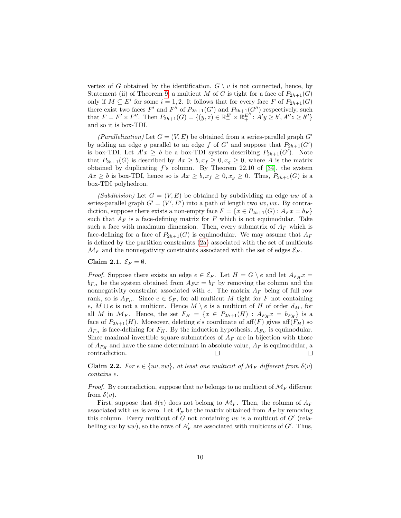vertex of G obtained by the identification,  $G \setminus v$  is not connected, hence, by Statement (ii) of Theorem [9,](#page-6-3) a multicut M of G is tight for a face of  $P_{2h+1}(G)$ only if  $M \subseteq E^i$  for some  $i = 1, 2$ . It follows that for every face F of  $P_{2h+1}(G)$ there exist two faces F' and F'' of  $P_{2h+1}(G')$  and  $P_{2h+1}(G'')$  respectively, such that  $F = F' \times F''$ . Then  $P_{2h+1}(G) = \{(y, z) \in \mathbb{R}_+^{E'} \times \mathbb{R}_+^{E''} : A'y \geq b', A''z \geq b''\}$ and so it is box-TDI.

(Parallelization) Let  $G = (V, E)$  be obtained from a series-parallel graph  $G'$ by adding an edge g parallel to an edge f of G' and suppose that  $P_{2h+1}(G')$ is box-TDI. Let  $A'x \geq b$  be a box-TDI system describing  $P_{2h+1}(G')$ . Note that  $P_{2h+1}(G)$  is described by  $Ax \geq b, x_f \geq 0, x_g \geq 0$ , where A is the matrix obtained by duplicating  $f$ 's column. By Theorem 22.10 of [\[34\]](#page-30-0), the system  $Ax \geq b$  is box-TDI, hence so is  $Ax \geq b$ ,  $x_f \geq 0$ ,  $x_g \geq 0$ . Thus,  $P_{2h+1}(G)$  is a box-TDI polyhedron.

(Subdivision) Let  $G = (V, E)$  be obtained by subdividing an edge uw of a series-parallel graph  $G' = (V', E')$  into a path of length two uv, vw. By contradiction, suppose there exists a non-empty face  $F = \{x \in P_{2h+1}(G) : A_F x = b_F\}$ such that  $A_F$  is a face-defining matrix for F which is not equimodular. Take such a face with maximum dimension. Then, every submatrix of  $A_F$  which is face-defining for a face of  $P_{2h+1}(G)$  is equimodular. We may assume that  $A_F$ is defined by the partition constraints [\(2a\)](#page-6-0) associated with the set of multicuts  $\mathcal{M}_F$  and the nonnegativity constraints associated with the set of edges  $\mathcal{E}_F$ .

#### <span id="page-9-0"></span>Claim 2.1.  $\mathcal{E}_F = \emptyset$ .

*Proof.* Suppose there exists an edge  $e \in \mathcal{E}_F$ . Let  $H = G \setminus e$  and let  $A_{F_H} x =$  $b_{F_H}$  be the system obtained from  $A_F x = b_F$  by removing the column and the nonnegativity constraint associated with  $e$ . The matrix  $A_F$  being of full row rank, so is  $A_{F_H}$ . Since  $e \in \mathcal{E}_F$ , for all multicut M tight for F not containing e,  $M \cup e$  is not a multicut. Hence  $M \setminus e$  is a multicut of H of order  $d_M$ , for all M in  $\mathcal{M}_F$ . Hence, the set  $F_H = \{x \in P_{2h+1}(H) : A_{F_H}x = b_{F_H}\}\$ is a face of  $P_{2h+1}(H)$ . Moreover, deleting e's coordinate of aff $(F)$  gives aff $(F_H)$  so  $A_{F_H}$  is face-defining for  $F_H$ . By the induction hypothesis,  $A_{F_H}$  is equimodular. Since maximal invertible square submatrices of  $A_F$  are in bijection with those of  $A_{F_H}$  and have the same determinant in absolute value,  $A_F$  is equimodular, a contradiction.  $\Box$  $\Box$ 

<span id="page-9-1"></span>**Claim 2.2.** For  $e \in \{uv, vw\}$ , at least one multicut of  $\mathcal{M}_F$  different from  $\delta(v)$ contains e.

*Proof.* By contradiction, suppose that uv belongs to no multicut of  $\mathcal{M}_F$  different from  $\delta(v)$ .

First, suppose that  $\delta(v)$  does not belong to  $\mathcal{M}_F$ . Then, the column of  $A_F$ associated with uv is zero. Let  $A'_F$  be the matrix obtained from  $A_F$  by removing this column. Every multicut of  $\tilde{G}$  not containing uv is a multicut of  $G'$  (relabelling vw by uw), so the rows of  $A'_F$  are associated with multicuts of  $G'$ . Thus,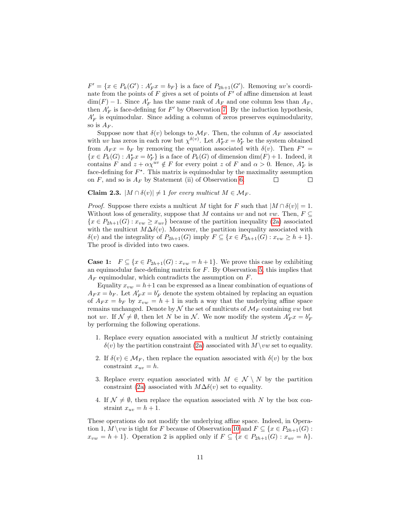$F' = \{x \in P_k(G') : A'_F x = b_F\}$  is a face of  $P_{2h+1}(G')$ . Removing uv's coordinate from the points of  $F$  gives a set of points of  $F'$  of affine dimension at least  $\dim(F) - 1$ . Since  $A'_F$  has the same rank of  $A_F$  and one column less than  $A_F$ , then  $A'_F$  is face-defining for  $F'$  by Observation [7.](#page-5-2) By the induction hypothesis,  $A'_F$  is equimodular. Since adding a column of zeros preserves equimodularity, so is  $A_F$ .

Suppose now that  $\delta(v)$  belongs to  $\mathcal{M}_F$ . Then, the column of  $A_F$  associated with uv has zeros in each row but  $\chi^{\delta(v)}$ . Let  $A_F^{\star} x = b_F^{\star}$  be the system obtained from  $A_F x = b_F$  by removing the equation associated with  $\delta(v)$ . Then  $F^* =$  $\{x \in P_k(G) : A_F^{\star} x = b_F^{\star}\}\$ is a face of  $P_k(G)$  of dimension  $\dim(F) + 1$ . Indeed, it contains F and  $z + \alpha \chi^{uv} \notin F$  for every point z of F and  $\alpha > 0$ . Hence,  $A_F^*$  is face-defining for  $F^*$ . This matrix is equimodular by the maximality assumption on  $F$ , and so is  $A_F$  by Statement (ii) of Observation [6.](#page-5-3)  $\Box$  $\Box$ 

#### <span id="page-10-0"></span>Claim 2.3.  $|M \cap \delta(v)| \neq 1$  for every multicut  $M \in \mathcal{M}_F$ .

*Proof.* Suppose there exists a multicut M tight for F such that  $|M \cap \delta(v)| = 1$ . Without loss of generality, suppose that M contains uv and not vw. Then,  $F \subseteq$  ${x \in P_{2h+1}(G) : x_{vw} \geq x_{uv}}$  because of the partition inequality [\(2a\)](#page-6-0) associated with the multicut  $M\Delta\delta(v)$ . Moreover, the partition inequality associated with  $\delta(v)$  and the integrality of  $P_{2h+1}(G)$  imply  $F \subseteq \{x \in P_{2h+1}(G) : x_{vw} \ge h+1\}.$ The proof is divided into two cases.

**Case 1:**  $F \subseteq \{x \in P_{2h+1}(G) : x_{vw} = h+1\}$ . We prove this case by exhibiting an equimodular face-defining matrix for  $F$ . By Observation [5,](#page-5-4) this implies that  $A_F$  equimodular, which contradicts the assumption on  $F$ .

Equality  $x_{vw} = h+1$  can be expressed as a linear combination of equations of  $A_F x = b_F$ . Let  $A'_F x = b'_F$  denote the system obtained by replacing an equation of  $A_F x = b_F$  by  $x_{vw} = h + 1$  in such a way that the underlying affine space remains unchanged. Denote by  $\mathcal N$  the set of multicuts of  $\mathcal M_F$  containing vw but not uv. If  $\mathcal{N} \neq \emptyset$ , then let N be in N. We now modify the system  $A'_F x = b'_F$ by performing the following operations.

- 1. Replace every equation associated with a multicut  $M$  strictly containing  $\delta(v)$  by the partition constraint [\(2a\)](#page-6-0) associated with  $M\setminus vw$  set to equality.
- 2. If  $\delta(v) \in \mathcal{M}_F$ , then replace the equation associated with  $\delta(v)$  by the box constraint  $x_{uv} = h$ .
- 3. Replace every equation associated with  $M \in \mathcal{N} \setminus N$  by the partition constraint [\(2a\)](#page-6-0) associated with  $M\Delta\delta(v)$  set to equality.
- 4. If  $\mathcal{N} \neq \emptyset$ , then replace the equation associated with N by the box constraint  $x_{uv} = h + 1$ .

These operations do not modify the underlying affine space. Indeed, in Operation 1,  $M \setminus vw$  is tight for F because of Observation [10](#page-6-4) and  $F \subseteq \{x \in P_{2h+1}(G) :$  $x_{vw} = h + 1$ . Operation 2 is applied only if  $F \subseteq \{x \in P_{2h+1}(G) : x_{uv} = h\}.$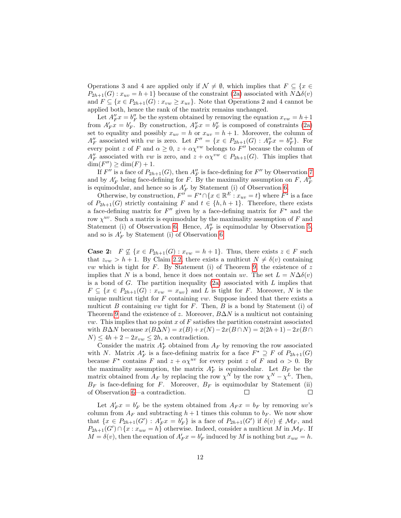Operations 3 and 4 are applied only if  $\mathcal{N} \neq \emptyset$ , which implies that  $F \subseteq \{x \in$  $P_{2h+1}(G): x_{uv} = h+1$ } because of the constraint [\(2a\)](#page-6-0) associated with  $N\Delta\delta(v)$ and  $F \subseteq \{x \in P_{2h+1}(G) : x_{vw} \geq x_{uv}\}.$  Note that Operations 2 and 4 cannot be applied both, hence the rank of the matrix remains unchanged.

Let  $A''_F x = b''_F$  be the system obtained by removing the equation  $x_{vw} = h+1$ from  $A'_F x = b'_F$ . By construction,  $A''_F x = b''_F$  is composed of constraints [\(2a\)](#page-6-0) set to equality and possibly  $x_{uv} = h$  or  $x_{uv} = h + 1$ . Moreover, the column of  $A''_F$  associated with vw is zero. Let  $F'' = \{x \in P_{2h+1}(G) : A''_F x = b''_F\}$ . For  $A_F$  associated with vw is zero. Let  $F = \{x \in P_{2h+1}(\sigma) : A_F x = \sigma_F\}$ . For every point z of F and  $\alpha \geq 0$ ,  $z + \alpha \chi^{vw}$  belongs to F'' because the column of  $A''_F$  associated with vw is zero, and  $z + \alpha \chi^{vw} \in P_{2h+1}(G)$ . This implies that  $\dim(F'') \geq \dim(F) + 1.$ 

If  $F''$  is a face of  $P_{2h+1}(G)$ , then  $A''_F$  is face-defining for  $F''$  by Observation [7](#page-5-2) and by  $A'_F$  being face-defining for F. By the maximality assumption on F,  $A''_F$ is equimodular, and hence so is  $A'_F$  by Statement (i) of Observation [6.](#page-5-3)

Otherwise, by construction,  $F'' = F^* \cap \{x \in \mathbb{R}^E : x_{uv} = t\}$  where  $F^*$  is a face of  $P_{2h+1}(G)$  strictly containing F and  $t \in \{h, h+1\}$ . Therefore, there exists a face-defining matrix for  $F''$  given by a face-defining matrix for  $F^*$  and the row  $\chi^{uv}$ . Such a matrix is equimodular by the maximality assumption of F and Statement (i) of Observation [6.](#page-5-3) Hence,  $A''_F$  is equimodular by Observation [5,](#page-5-4) and so is  $A'_F$  by Statement (i) of Observation [6.](#page-5-3)

**Case 2:**  $F \nsubseteq \{x \in P_{2h+1}(G) : x_{vw} = h+1\}$ . Thus, there exists  $z \in F$  such that  $z_{vw} > h + 1$ . By Claim [2.2,](#page-9-1) there exists a multicut  $N \neq \delta(v)$  containing *vw* which is tight for F. By Statement (i) of Theorem [9,](#page-6-3) the existence of z implies that N is a bond, hence it does not contain uv. The set  $L = N\Delta\delta(v)$ is a bond of  $G$ . The partition inequality  $(2a)$  associated with  $L$  implies that  $F \subseteq \{x \in P_{2h+1}(G) : x_{vw} = x_{uv}\}\$ and L is tight for F. Moreover, N is the unique multicut tight for  $F$  containing  $vw$ . Suppose indeed that there exists a multicut B containing vw tight for F. Then, B is a bond by Statement (i) of Theorem [9](#page-6-3) and the existence of z. Moreover,  $B\Delta N$  is a multicut not containing *vw.* This implies that no point  $x$  of  $F$  satisfies the partition constraint associated with  $B\Delta N$  because  $x(B\Delta N) = x(B) + x(N) - 2x(B \cap N) = 2(2h + 1) - 2x(B \cap N)$  $N \leq 4h + 2 - 2x_{vw} \leq 2h$ , a contradiction.

Consider the matrix  $A_F^*$  obtained from  $A_F$  by removing the row associated with N. Matrix  $A_F^*$  is a face-defining matrix for a face  $F^* \supseteq F$  of  $P_{2h+1}(G)$ because  $F^*$  contains F and  $z + \alpha \chi^{uv}$  for every point z of F and  $\alpha > 0$ . By the maximality assumption, the matrix  $A_F^*$  is equimodular. Let  $B_F$  be the matrix obtained from  $A_F$  by replacing the row  $\chi^N$  by the row  $\chi^N - \chi^L$ . Then,  $B_F$  is face-defining for F. Moreover,  $B_F$  is equimodular by Statement (ii) of Observation [6—](#page-5-3)a contradiction.  $\Box$  $\Box$ 

Let  $A'_F x = b'_F$  be the system obtained from  $A_F x = b_F$  by removing uv's column from  $A_F$  and subtracting  $h + 1$  times this column to  $b_F$ . We now show that  $\{x \in P_{2h+1}(G') : A'_{F}x = b'_{F}\}\$ is a face of  $P_{2h+1}(G')$  if  $\delta(v) \notin \mathcal{M}_{F}$ , and  $P_{2h+1}(G') \cap \{x : x_{uw} = h\}$  otherwise. Indeed, consider a multicut M in  $\mathcal{M}_F$ . If  $M = \delta(v)$ , then the equation of  $A'_F x = b'_F$  induced by M is nothing but  $x_{uw} = h$ .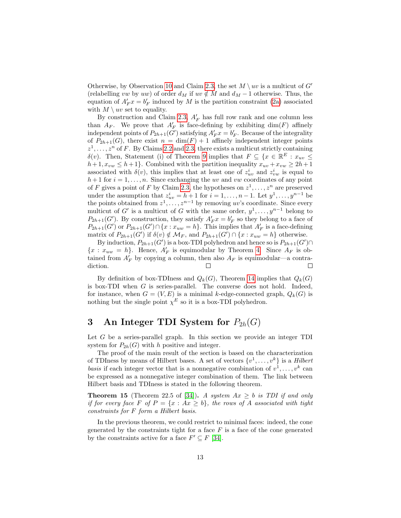Otherwise, by Observation [10](#page-6-4) and Claim [2.3,](#page-10-0) the set  $M \setminus uv$  is a multicut of G' (relabelling vw by uw) of order  $d_M$  if uv  $\notin M$  and  $d_M - 1$  otherwise. Thus, the equation of  $A'_F x = b'_F$  induced by M is the partition constraint [\(2a\)](#page-6-0) associated with  $M \setminus uv$  set to equality.

By construction and Claim [2.3,](#page-10-0)  $A'_F$  has full row rank and one column less than  $A_F$ . We prove that  $A'_F$  is face-defining by exhibiting  $\dim(F)$  affinely independent points of  $P_{2h+1}(G')$  satisfying  $A'_F x = b'_F$ . Because of the integrality of  $P_{2h+1}(G)$ , there exist  $n = \dim(F) + 1$  affinely independent integer points  $z^1, \ldots, z^n$  of F. By Claims [2.2](#page-9-1) and [2.3,](#page-10-0) there exists a multicut strictly containing δ(v). Then, Statement (i) of Theorem [9](#page-6-3) implies that  $F \subseteq \{x \in \mathbb{R}^E : x_{uv} \leq$  $h+1, x_{vw} \leq h+1$ . Combined with the partition inequality  $x_{uv} + x_{vw} \geq 2h+1$ associated with  $\delta(v)$ , this implies that at least one of  $z_{uv}^i$  and  $z_{vw}^i$  is equal to  $h+1$  for  $i=1,\ldots,n$ . Since exchanging the uv and vw coordinates of any point of F gives a point of F by Claim [2.3,](#page-10-0) the hypotheses on  $z^1, \ldots, z^n$  are preserved under the assumption that  $z_{uv}^i = h + 1$  for  $i = 1, ..., n - 1$ . Let  $y^1, ..., y^{n-1}$  be the points obtained from  $z^1, \ldots, z^{n-1}$  by removing uv's coordinate. Since every multicut of G' is a multicut of G with the same order,  $y^1, \ldots, y^{n-1}$  belong to  $P_{2h+1}(G')$ . By construction, they satisfy  $A'_F x = b'_F$  so they belong to a face of  $P_{2h+1}(G')$  or  $P_{2h+1}(G') \cap \{x : x_{uw} = h\}$ . This implies that  $A'_F$  is a face-defining matrix of  $P_{2h+1}(G')$  if  $\delta(v) \notin \mathcal{M}_F$ , and  $P_{2h+1}(G') \cap \{x : x_{uw} = h\}$  otherwise.

By induction,  $P_{2h+1}(G')$  is a box-TDI polyhedron and hence so is  $P_{2h+1}(G') \cap$  ${x : x_{uw} = h}$ . Hence,  $A'_F$  is equimodular by Theorem [4.](#page-5-0) Since  $A_F$  is obtained from  $A'_F$  by copying a column, then also  $A_F$  is equimodular—a contradiction.

By definition of box-TDIness and  $Q_k(G)$ , Theorem [14](#page-8-0) implies that  $Q_k(G)$ is box-TDI when G is series-parallel. The converse does not hold. Indeed, for instance, when  $G = (V, E)$  is a minimal k-edge-connected graph,  $Q_k(G)$  is nothing but the single point  $\chi^E$  so it is a box-TDI polyhedron.

### <span id="page-12-0"></span>3 An Integer TDI System for  $P_{2h}(G)$

Let  $G$  be a series-parallel graph. In this section we provide an integer TDI system for  $P_{2h}(G)$  with h positive and integer.

The proof of the main result of the section is based on the characterization of TDIness by means of Hilbert bases. A set of vectors  $\{v^1, \ldots, v^k\}$  is a Hilbert basis if each integer vector that is a nonnegative combination of  $v^1, \ldots, v^k$  can be expressed as a nonnegative integer combination of them. The link between Hilbert basis and TDIness is stated in the following theorem.

<span id="page-12-1"></span>**Theorem 15** (Theorem 22.5 of [\[34\]](#page-30-0)). A system  $Ax \geq b$  is TDI if and only if for every face F of  $P = \{x : Ax \geq b\}$ , the rows of A associated with tight constraints for F form a Hilbert basis.

In the previous theorem, we could restrict to minimal faces: indeed, the cone generated by the constraints tight for a face  $F$  is a face of the cone generated by the constraints active for a face  $F' \subseteq F$  [\[34\]](#page-30-0).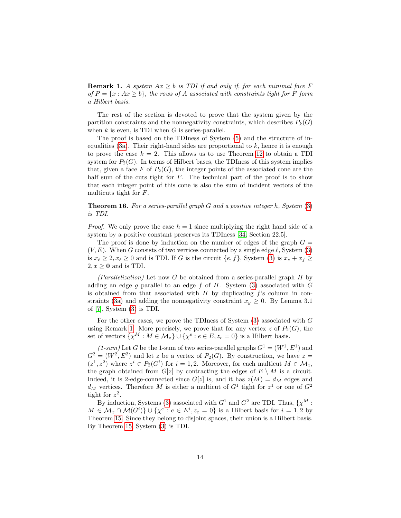<span id="page-13-0"></span>**Remark 1.** A system  $Ax \geq b$  is TDI if and only if, for each minimal face F of  $P = \{x : Ax \geq b\}$ , the rows of A associated with constraints tight for F form a Hilbert basis.

The rest of the section is devoted to prove that the system given by the partition constraints and the nonnegativity constraints, which describes  $P_k(G)$ when  $k$  is even, is TDI when  $G$  is series-parallel.

The proof is based on the TDIness of System [\(5\)](#page-7-3) and the structure of in-equalities [\(3a\)](#page-6-1). Their right-hand sides are proportional to  $k$ , hence it is enough to prove the case  $k = 2$ . This allows us to use Theorem [12](#page-7-1) to obtain a TDI system for  $P_2(G)$ . In terms of Hilbert bases, the TDIness of this system implies that, given a face F of  $P_2(G)$ , the integer points of the associated cone are the half sum of the cuts tight for  $F$ . The technical part of the proof is to show that each integer point of this cone is also the sum of incident vectors of the multicuts tight for F.

<span id="page-13-1"></span>**Theorem 16.** For a series-parallel graph G and a positive integer h, System  $(3)$ is TDI.

*Proof.* We only prove the case  $h = 1$  since multiplying the right hand side of a system by a positive constant preserves its TDIness [\[34,](#page-30-0) Section 22.5].

The proof is done by induction on the number of edges of the graph  $G =$  $(V, E)$ . When G consists of two vertices connected by a single edge  $\ell$ , System [\(3\)](#page-6-5) is  $x_{\ell} \geq 2, x_{\ell} \geq 0$  and is TDI. If G is the circuit  $\{e, f\}$ , System [\(3\)](#page-6-5) is  $x_e + x_f \geq 0$  $2, x \geq 0$  and is TDI.

 $(Parallelization)$  Let now G be obtained from a series-parallel graph H by adding an edge g parallel to an edge f of H. System  $(3)$  associated with G is obtained from that associated with  $H$  by duplicating  $f$ 's column in con-straints [\(3a\)](#page-6-1) and adding the nonnegativity constraint  $x_g \geq 0$ . By Lemma 3.1 of [\[7\]](#page-28-4), System [\(3\)](#page-6-5) is TDI.

For the other cases, we prove the TDIness of System  $(3)$  associated with  $G$ using Remark [1.](#page-13-0) More precisely, we prove that for any vertex  $z$  of  $P_2(G)$ , the set of vectors  $\{\chi^M : M \in \mathcal{M}_z\} \cup \{\chi^e : e \in E, z_e = 0\}$  is a Hilbert basis.

 $(1-sum)$  Let G be the 1-sum of two series-parallel graphs  $G^1 = (W^1, E^1)$  and  $G^2 = (W^2, E^2)$  and let z be a vertex of  $P_2(G)$ . By construction, we have  $z =$  $(z^1, z^2)$  where  $z^i \in P_2(G^i)$  for  $i = 1, 2$ . Moreover, for each multicut  $M \in \mathcal{M}_z$ , the graph obtained from  $G[z]$  by contracting the edges of  $E \setminus M$  is a circuit. Indeed, it is 2-edge-connected since  $G[z]$  is, and it has  $z(M) = d_M$  edges and  $d_M$  vertices. Therefore M is either a multicut of  $G^1$  tight for  $z^1$  or one of  $G^2$ tight for  $z^2$ .

By induction, Systems [\(3\)](#page-6-5) associated with  $G^1$  and  $G^2$  are TDI. Thus,  $\{\chi^M:$  $M \in \mathcal{M}_z \cap \mathcal{M}(G^i) \} \cup \{ \chi^e : e \in E^i, z_e = 0 \}$  is a Hilbert basis for  $i = 1, 2$  by Theorem [15.](#page-12-1) Since they belong to disjoint spaces, their union is a Hilbert basis. By Theorem [15,](#page-12-1) System [\(3\)](#page-6-5) is TDI.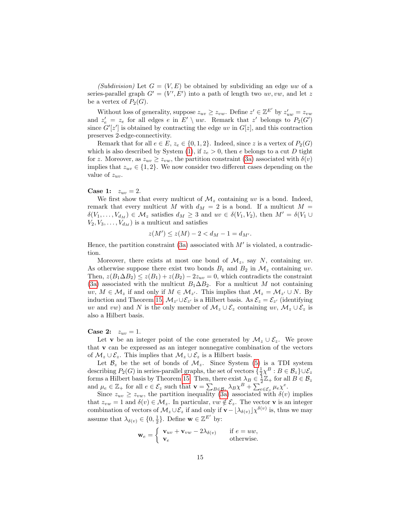(Subdivision) Let  $G = (V, E)$  be obtained by subdividing an edge uw of a series-parallel graph  $G' = (V', E')$  into a path of length two  $uv, vw$ , and let z be a vertex of  $P_2(G)$ .

Without loss of generality, suppose  $z_{uv} \ge z_{vw}$ . Define  $z' \in \mathbb{Z}^{E'}$  by  $z'_{uw} = z_{vw}$ and  $z'_e = z_e$  for all edges e in  $E' \setminus uw$ . Remark that z' belongs to  $P_2(G')$ since  $G'[z']$  is obtained by contracting the edge uv in  $G[z]$ , and this contraction preserves 2-edge-connectivity.

Remark that for all  $e \in E$ ,  $z_e \in \{0, 1, 2\}$ . Indeed, since z is a vertex of  $P_2(G)$ which is also described by System [\(1\)](#page-5-5), if  $z_e > 0$ , then e belongs to a cut D tight for z. Moreover, as  $z_{uv} \ge z_{vw}$ , the partition constraint [\(3a\)](#page-6-1) associated with  $\delta(v)$ implies that  $z_{uv} \in \{1,2\}$ . We now consider two different cases depending on the value of  $z_{uv}$ .

**Case 1:**  $z_{uv} = 2$ .

We first show that every multicut of  $\mathcal{M}_z$  containing uv is a bond. Indeed, remark that every multicut  $M$  with  $d_M = 2$  is a bond. If a multicut  $M =$  $\delta(V_1,\ldots,V_{d_M})\in\mathcal{M}_z$  satisfies  $d_M\geq 3$  and  $uv\in\delta(V_1,V_2)$ , then  $M'=\delta(V_1\cup$  $V_2, V_3, \ldots, V_{d_M}$  is a multicut and satisfies

$$
z(M') \le z(M) - 2 < d_M - 1 = d_{M'}.
$$

Hence, the partition constraint  $(3a)$  associated with  $M'$  is violated, a contradiction.

Moreover, there exists at most one bond of  $\mathcal{M}_z$ , say N, containing uv. As otherwise suppose there exist two bonds  $B_1$  and  $B_2$  in  $\mathcal{M}_z$  containing uv. Then,  $z(B_1 \Delta B_2) \leq z(B_1) + z(B_2) - 2z_{uv} = 0$ , which contradicts the constraint [\(3a\)](#page-6-1) associated with the multicut  $B_1 \Delta B_2$ . For a multicut M not containing  $uv, M \in \mathcal{M}_z$  if and only if  $M \in \mathcal{M}_{z'}$ . This implies that  $\mathcal{M}_z = \mathcal{M}_{z'} \cup N$ . By induction and Theorem [15,](#page-12-1)  $\mathcal{M}_{z'} \cup \mathcal{E}_{z'}$  is a Hilbert basis. As  $\mathcal{E}_z = \mathcal{E}_{z'}$  (identifying uv and vw) and N is the only member of  $\mathcal{M}_z \cup \mathcal{E}_z$  containing uv,  $\mathcal{M}_z \cup \mathcal{E}_z$  is also a Hilbert basis.

**Case 2:**  $z_{uv} = 1$ .

Let v be an integer point of the cone generated by  $\mathcal{M}_z \cup \mathcal{E}_z$ . We prove that v can be expressed as an integer nonnegative combination of the vectors of  $\mathcal{M}_z \cup \mathcal{E}_z$ . This implies that  $\mathcal{M}_z \cup \mathcal{E}_z$  is a Hilbert basis.

Let  $\mathcal{B}_z$  be the set of bonds of  $\mathcal{M}_z$ . Since System [\(5\)](#page-7-3) is a TDI system describing  $P_2(G)$  in series-parallel graphs, the set of vectors  $\{\frac{1}{2}\chi^B : B \in \mathcal{B}_z\} \cup \mathcal{E}_z$ describing  $P_2(G)$  in series-parameter graphs, the set of vectors  $\{X \to C$   $\omega_z\}C_z$ <br>forms a Hilbert basis by Theorem [15.](#page-12-1) Then, there exist  $\lambda_B \in \frac{1}{2}\mathbb{Z}_+$  for all  $B \in \mathcal{B}_z$ and  $\mu_e \in \mathbb{Z}_+$  for all  $e \in \mathcal{E}_z$  such that  $\mathbf{v} = \sum_{B \in \mathcal{B}_z} \lambda_B \chi^B + \sum_{e \in \mathcal{E}_z}^e \mu_e \chi^e$ .

Since  $z_{uv} \ge z_{vw}$ , the partition inequality [\(3a\)](#page-6-1) associated with  $\delta(v)$  implies that  $z_{vw} = 1$  and  $\delta(v) \in \mathcal{M}_z$ . In particular,  $vw \notin \mathcal{E}_z$ . The vector **v** is an integer combination of vectors of  $\mathcal{M}_z \cup \mathcal{E}_z$  if and only if  $\mathbf{v} - \lfloor \lambda_{\delta(v)} \rfloor \chi^{\delta(v)}$  is, thus we may assume that  $\lambda_{\delta(v)} \in \{0, \frac{1}{2}\}.$  Define  $\mathbf{w} \in \mathbb{Z}^{E'}$  by:

$$
\mathbf{w}_e = \begin{cases} \mathbf{v}_{uv} + \mathbf{v}_{vw} - 2\lambda_{\delta(v)} & \text{if } e = uw, \\ \mathbf{v}_e & \text{otherwise.} \end{cases}
$$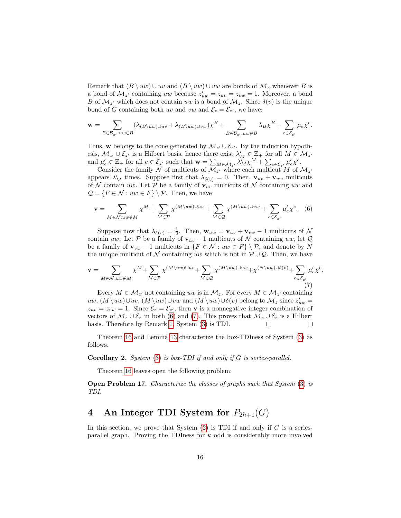Remark that  $(B \setminus uw) \cup uv$  and  $(B \setminus uw) \cup vw$  are bonds of  $\mathcal{M}_z$  whenever B is a bond of  $\mathcal{M}_{z'}$  containing uw because  $z'_{uw} = z_{uv} = z_{vw} = 1$ . Moreover, a bond B of  $\mathcal{M}_{z'}$  which does not contain uw is a bond of  $\mathcal{M}_{z}$ . Since  $\delta(v)$  is the unique bond of G containing both uv and vw and  $\mathcal{E}_z = \mathcal{E}_{z'}$ , we have:

$$
\mathbf{w} = \sum_{B \in \mathcal{B}_{z'}: uw \in B} (\lambda_{(B \setminus uw) \cup uv} + \lambda_{(B \setminus uw) \cup vw}) \chi^B + \sum_{B \in \mathcal{B}_{z'}: uw \notin B} \lambda_B \chi^B + \sum_{e \in \mathcal{E}_{z'}} \mu_e \chi^e.
$$

Thus, w belongs to the cone generated by  $\mathcal{M}_{z'} \cup \mathcal{E}_{z'}$ . By the induction hypothesis,  $\mathcal{M}_{z'} \cup \mathcal{E}_{z'}$  is a Hilbert basis, hence there exist  $\lambda'_M \in \mathbb{Z}_+$  for all  $M \in \mathcal{M}_{z'}$ and  $\mu'_e \in \mathbb{Z}_+$  for all  $e \in \mathcal{E}_{z'}$  such that  $\mathbf{w} = \sum_{M \in \mathcal{M}_{z'}} \lambda'_M \chi^M + \sum_{e \in \mathcal{E}_{z'}} \mu'_e \chi^e$ .

Consider the family N of multicuts of  $\mathcal{M}_{z'}$  where each multicut M of  $\mathcal{M}_{z'}$ appears  $\lambda'_M$  times. Suppose first that  $\lambda_{\delta(v)} = 0$ . Then,  $\mathbf{v}_{uv} + \mathbf{v}_{vw}$  multicuts of N contain uw. Let P be a family of  $\mathbf{v}_{uv}$  multicuts of N containing uw and  $\mathcal{Q} = \{F \in \mathcal{N} : uw \in F\} \setminus \mathcal{P}$ . Then, we have

<span id="page-15-1"></span>
$$
\mathbf{v} = \sum_{M \in \mathcal{N}: uv \notin M} \chi^M + \sum_{M \in \mathcal{P}} \chi^{(M \setminus uw) \cup uv} + \sum_{M \in \mathcal{Q}} \chi^{(M \setminus uw) \cup vw} + \sum_{e \in \mathcal{E}_{z'}} \mu'_e \chi^e. \tag{6}
$$

Suppose now that  $\lambda_{\delta(v)} = \frac{1}{2}$ . Then,  $\mathbf{w}_{uw} = \mathbf{v}_{uv} + \mathbf{v}_{vw} - 1$  multicuts of  $\mathcal{N}$ contain uw. Let P be a family of  $v_{uv} - 1$  multicuts of N containing uw, let Q be a family of  $\mathbf{v}_{vw}$  − 1 multicuts in  $\{F \in \mathcal{N} : uw \in F\} \setminus \mathcal{P}$ , and denote by N the unique multicut of N containing uw which is not in  $\mathcal{P} \cup \mathcal{Q}$ . Then, we have

<span id="page-15-2"></span>
$$
\mathbf{v} = \sum_{M \in \mathcal{N}: uw \notin M} \chi^M + \sum_{M \in \mathcal{P}} \chi^{(M \setminus uw) \cup uv} + \sum_{M \in \mathcal{Q}} \chi^{(M \setminus uw) \cup vw} + \chi^{(N \setminus uw) \cup \delta(v)} + \sum_{e \in \mathcal{E}_{z'}} \mu'_e \chi^e.
$$
\n(7)

Every  $M \in \mathcal{M}_{z'}$  not containing uw is in  $\mathcal{M}_{z}$ . For every  $M \in \mathcal{M}_{z'}$  containing  $uw, (M \ uw) \cup uv, (M \ uw) \cup vw$  and  $(M \ uw) \cup \delta(v)$  belong to  $\mathcal{M}_z$  since  $z'_{uw}$  $z_{uv} = z_{vw} = 1$ . Since  $\mathcal{E}_z = \mathcal{E}_{z'}$ , then **v** is a nonnegative integer combination of vectors of  $\mathcal{M}_z \cup \mathcal{E}_z$  in both [\(6\)](#page-15-1) and [\(7\)](#page-15-2). This proves that  $\mathcal{M}_z \cup \mathcal{E}_z$  is a Hilbert basis. Therefore by Remark [1,](#page-13-0) System [\(3\)](#page-6-5) is TDI.  $\Box$  $\Box$ 

Theorem [16](#page-13-1) and Lemma [13](#page-7-2) characterize the box-TDIness of System [\(3\)](#page-6-5) as follows.

**Corollary 2.** System  $(3)$  is box-TDI if and only if G is series-parallel.

Theorem [16](#page-13-1) leaves open the following problem:

**Open Problem 17.** Characterize the classes of graphs such that System [\(3\)](#page-6-5) is TDI.

# <span id="page-15-0"></span>4 An Integer TDI System for  $P_{2h+1}(G)$

In this section, we prove that System  $(2)$  is TDI if and only if G is a seriesparallel graph. Proving the TDIness for  $k$  odd is considerably more involved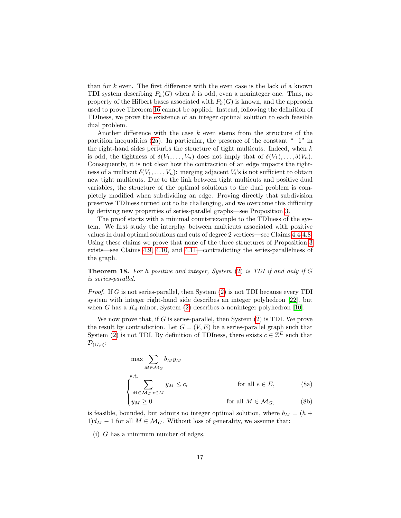than for  $k$  even. The first difference with the even case is the lack of a known TDI system describing  $P_k(G)$  when k is odd, even a noninteger one. Thus, no property of the Hilbert bases associated with  $P_k(G)$  is known, and the approach used to prove Theorem [16](#page-13-1) cannot be applied. Instead, following the definition of TDIness, we prove the existence of an integer optimal solution to each feasible dual problem.

Another difference with the case  $k$  even stems from the structure of the partition inequalities [\(2a\)](#page-6-0). In particular, the presence of the constant " $-1$ " in the right-hand sides perturbs the structure of tight multicuts. Indeed, when  $k$ is odd, the tightness of  $\delta(V_1,\ldots,V_n)$  does not imply that of  $\delta(V_1),\ldots,\delta(V_n)$ . Consequently, it is not clear how the contraction of an edge impacts the tightness of a multicut  $\delta(V_1,\ldots,V_n)$ : merging adjacent  $V_i$ 's is not sufficient to obtain new tight multicuts. Due to the link between tight multicuts and positive dual variables, the structure of the optimal solutions to the dual problem is completely modified when subdividing an edge. Proving directly that subdivision preserves TDIness turned out to be challenging, and we overcome this difficulty by deriving new properties of series-parallel graphs—see Proposition [3.](#page-4-0)

The proof starts with a minimal counterexample to the TDIness of the system. We first study the interplay between multicuts associated with positive values in dual optimal solutions and cuts of degree 2 vertices—see Claims [4.4-](#page-18-0)[4.8.](#page-22-0) Using these claims we prove that none of the three structures of Proposition [3](#page-4-0) exists—see Claims [4.9,](#page-22-1) [4.10,](#page-24-0) and [4.11—](#page-26-0)contradicting the series-parallelness of the graph.

<span id="page-16-2"></span>**Theorem 18.** For h positive and integer, System  $(2)$  is TDI if and only if G is series-parallel.

*Proof.* If G is not series-parallel, then System  $(2)$  is not TDI because every TDI system with integer right-hand side describes an integer polyhedron [\[22\]](#page-29-13), but when G has a  $K_4$ -minor, System [\(2\)](#page-6-6) describes a noninteger polyhedron [\[10\]](#page-28-9).

We now prove that, if G is series-parallel, then System  $(2)$  is TDI. We prove the result by contradiction. Let  $G = (V, E)$  be a series-parallel graph such that System [\(2\)](#page-6-6) is not TDI. By definition of TDIness, there exists  $c \in \mathbb{Z}^E$  such that  $\mathcal{D}_{(G,c)}$ :

<span id="page-16-1"></span>
$$
\max \sum_{M \in \mathcal{M}_G} b_M y_M
$$
  
s.t.  

$$
\sum_{M \in \mathcal{M}_G: e \in M} y_M \le c_e
$$
 for all  $e \in E$ , (8a)  

$$
y_M \ge 0
$$
 for all  $M \in \mathcal{M}_G$ , (8b)

is feasible, bounded, but admits no integer optimal solution, where  $b_M = (h +$  $1)d<sub>M</sub> - 1$  for all  $M \in \mathcal{M}<sub>G</sub>$ . Without loss of generality, we assume that:

<span id="page-16-0"></span>(i)  $G$  has a minimum number of edges,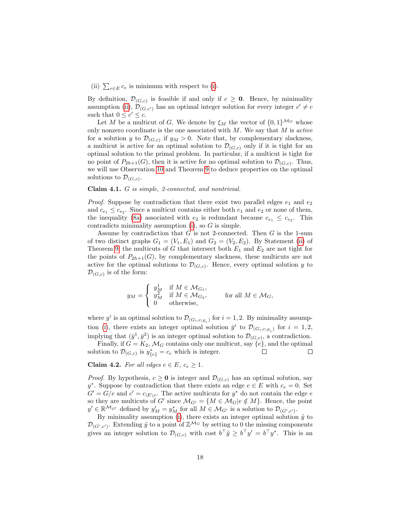<span id="page-17-0"></span>(ii)  $\sum_{e \in E} c_e$  is minimum with respect to [\(i\)](#page-16-0).

By definition,  $\mathcal{D}_{(G,c)}$  is feasible if and only if  $c \geq 0$ . Hence, by minimality assumption [\(ii\)](#page-17-0),  $\mathcal{D}_{(G,c')}$  has an optimal integer solution for every integer  $c' \neq c$ such that  $0 \leq c' \leq c$ .

Let M be a multicut of G. We denote by  $\xi_M$  the vector of  $\{0,1\}^{\mathcal{M}_G}$  whose only nonzero coordinate is the one associated with  $M$ . We say that  $M$  is active for a solution y to  $\mathcal{D}_{(G,c)}$  if  $y_M > 0$ . Note that, by complementary slackness, a multicut is active for an optimal solution to  $\mathcal{D}_{(G,c)}$  only if it is tight for an optimal solution to the primal problem. In particular, if a multicut is tight for no point of  $P_{2h+1}(G)$ , then it is active for no optimal solution to  $\mathcal{D}_{(G,c)}$ . Thus, we will use Observation [10](#page-6-4) and Theorem [9](#page-6-3) to deduce properties on the optimal solutions to  $\mathcal{D}_{(G,c)}$ .

#### <span id="page-17-1"></span>Claim 4.1. G is simple, 2-connected, and nontrivial.

*Proof.* Suppose by contradiction that there exist two parallel edges  $e_1$  and  $e_2$ and  $c_{e_1} \leq c_{e_2}$ . Since a multicut contains either both  $e_1$  and  $e_2$  or none of them, the inequality [\(8a\)](#page-16-1) associated with  $e_2$  is redundant because  $c_{e_1} \leq c_{e_2}$ . This contradicts minimality assumption  $(i)$ , so  $G$  is simple.

Assume by contradiction that  $G$  is not 2-connected. Then  $G$  is the 1-sum of two distinct graphs  $G_1 = (V_1, E_1)$  and  $G_2 = (V_2, E_2)$ . By Statement [\(ii\)](#page-6-7) of Theorem [9,](#page-6-3) the multicuts of G that intersect both  $E_1$  and  $E_2$  are not tight for the points of  $P_{2h+1}(G)$ , by complementary slackness, these multicuts are not active for the optimal solutions to  $\mathcal{D}_{(G,c)}$ . Hence, every optimal solution y to  $\mathcal{D}_{(G,c)}$  is of the form:

$$
y_M = \left\{ \begin{array}{ll} y_M^1 & \text{if } M \in \mathcal{M}_{G_1}, \\ y_M^2 & \text{if } M \in \mathcal{M}_{G_2}, \\ 0 & \text{otherwise}, \end{array} \right. \qquad \text{for all } M \in \mathcal{M}_G,
$$

where  $y^i$  is an optimal solution to  $\mathcal{D}_{(G_i, c_{|E_i})}$  for  $i = 1, 2$ . By minimality assump-tion [\(i\)](#page-16-0), there exists an integer optimal solution  $\bar{y}^i$  to  $\mathcal{D}_{(G_i, c_{|E_i})}$  for  $i = 1, 2$ , implying that  $(\bar{y}^1, \bar{y}^2)$  is an integer optimal solution to  $\mathcal{D}_{(G,c)}$ , a contradiction.

Finally, if  $G = K_2$ ,  $\mathcal{M}_G$  contains only one multicut, say  $\{e\}$ , and the optimal solution to  $\mathcal{D}_{(G,c)}$  is  $y_{\{e\}}^* = c_e$  which is integer.  $\Box$  $\Box$ 

#### <span id="page-17-2"></span>Claim 4.2. For all edges  $e \in E$ ,  $c_e \geq 1$ .

*Proof.* By hypothesis,  $c \ge 0$  is integer and  $\mathcal{D}_{(G,c)}$  has an optimal solution, say y<sup>\*</sup>. Suppose by contradiction that there exists an edge  $e \in E$  with  $c_e = 0$ . Set  $G' = G/e$  and  $c' = c_{|E \backslash e}$ . The active multicuts for  $y^*$  do not contain the edge  $e$ so they are multicuts of G' since  $\mathcal{M}_{G'} = \{ M \in \mathcal{M}_G | e \notin M \}$ . Hence, the point  $y' \in \mathbb{R}^{\mathcal{M}_{G'}}$  defined by  $y'_{M} = y^{*}_{M}$  for all  $M \in \mathcal{M}_{G'}$  is a solution to  $\mathcal{D}_{(G',c')}$ .

By minimality assumption [\(i\)](#page-16-0), there exists an integer optimal solution  $\tilde{y}$  to  $\mathcal{D}_{(G',c')}$ . Extending  $\tilde{y}$  to a point of  $\mathbb{Z}^{\mathcal{M}_G}$  by setting to 0 the missing components gives an integer solution to  $\mathcal{D}_{(G,c)}$  with cost  $b^{\top} \tilde{y} \geq b^{\top} y' = b^{\top} y^*$ . This is an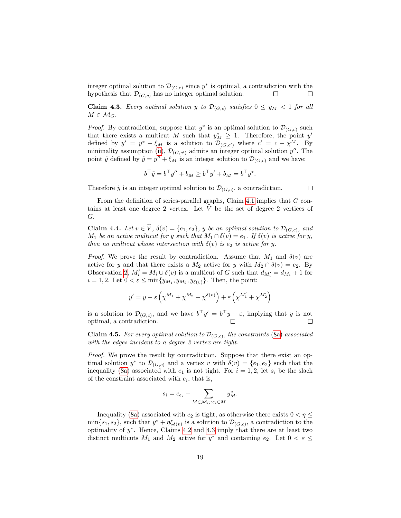integer optimal solution to  $\mathcal{D}_{(G,c)}$  since  $y^*$  is optimal, a contradiction with the hypothesis that  $\mathcal{D}_{(G,c)}$  has no integer optimal solution.  $\Box$  $\Box$ 

<span id="page-18-1"></span>**Claim 4.3.** Every optimal solution y to  $\mathcal{D}_{(G,c)}$  satisfies  $0 \le y_M < 1$  for all  $M \in \mathcal{M}_G$ .

*Proof.* By contradiction, suppose that  $y^*$  is an optimal solution to  $\mathcal{D}_{(G,c)}$  such that there exists a multicut M such that  $y_M^* \geq 1$ . Therefore, the point y' defined by  $y' = y^* - \xi_M$  is a solution to  $\mathcal{D}_{(G,c')}$  where  $c' = c - \chi^M$ . By minimality assumption [\(ii\)](#page-17-0),  $\mathcal{D}_{(G,c')}$  admits an integer optimal solution  $y''$ . The point  $\tilde{y}$  defined by  $\tilde{y} = y'' + \xi_M$  is an integer solution to  $\mathcal{D}_{(G,c)}$  and we have:

$$
b^{\top} \tilde{y} = b^{\top} y'' + b_M \ge b^{\top} y' + b_M = b^{\top} y^*.
$$

Therefore  $\tilde{y}$  is an integer optimal solution to  $\mathcal{D}_{(G,c)}$ , a contradiction.  $\Box$  $\Box$ 

From the definition of series-parallel graphs, Claim [4.1](#page-17-1) implies that G contains at least one degree 2 vertex. Let  $V$  be the set of degree 2 vertices of G.

<span id="page-18-0"></span>**Claim 4.4.** Let  $v \in V$ ,  $\delta(v) = \{e_1, e_2\}$ , y be an optimal solution to  $\mathcal{D}_{(G,c)}$ , and  $M_1$  be an active multicut for y such that  $M_1 \cap \delta(v) = e_1$ . If  $\delta(v)$  is active for y, then no multicut whose intersection with  $\delta(v)$  is  $e_2$  is active for y.

*Proof.* We prove the result by contradiction. Assume that  $M_1$  and  $\delta(v)$  are active for y and that there exists a  $M_2$  active for y with  $M_2 \cap \delta(v) = e_2$ . By Observation [2,](#page-4-4)  $M'_i = M_i \cup \delta(v)$  is a multicut of G such that  $d_{M'_i} = d_{M_i} + 1$  for  $i = 1, 2$ . Let  $0 < \varepsilon \le \min\{y_{M_1}, y_{M_2}, y_{\delta(v)}\}$ . Then, the point:

$$
y' = y - \varepsilon \left( \chi^{M_1} + \chi^{M_2} + \chi^{\delta(v)} \right) + \varepsilon \left( \chi^{M'_1} + \chi^{M'_2} \right)
$$

is a solution to  $\mathcal{D}_{(G,c)}$ , and we have  $b^{\top}y' = b^{\top}y + \varepsilon$ , implying that y is not optimal, a contradiction.  $\Box$ 

<span id="page-18-2"></span>**Claim 4.5.** For every optimal solution to  $\mathcal{D}_{(G,c)}$ , the constraints [\(8a\)](#page-16-1) associated with the edges incident to a degree 2 vertex are tight.

Proof. We prove the result by contradiction. Suppose that there exist an optimal solution  $y^*$  to  $\mathcal{D}_{(G,c)}$  and a vertex v with  $\delta(v) = \{e_1, e_2\}$  such that the inequality [\(8a\)](#page-16-1) associated with  $e_1$  is not tight. For  $i = 1, 2$ , let  $s_i$  be the slack of the constraint associated with  $e_i$ , that is,

$$
s_i = c_{e_i} - \sum_{M \in \mathcal{M}_G : e_i \in M} y_M^*.
$$

Inequality [\(8a\)](#page-16-1) associated with  $e_2$  is tight, as otherwise there exists  $0 < \eta \leq$  $\min\{s_1, s_2\}$ , such that  $y^* + \eta \xi_{\delta(v)}$  is a solution to  $\mathcal{D}_{(G,c)}$ , a contradiction to the optimality of  $y^*$ . Hence, Claims [4.2](#page-17-2) and [4.3](#page-18-1) imply that there are at least two distinct multicuts  $M_1$  and  $M_2$  active for  $y^*$  and containing  $e_2$ . Let  $0 < \varepsilon \leq$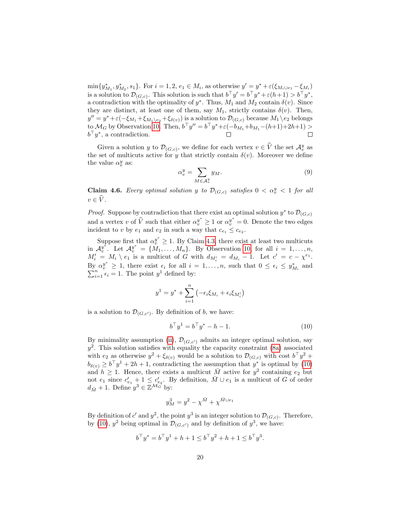$\min\{y_{M_1}^*, y_{M_2}^*, s_1\}$ . For  $i = 1, 2, e_1 \in M_i$ , as otherwise  $y' = y^* + \varepsilon(\xi_{M_i \cup e_1} - \xi_{M_i})$ is a solution to  $\mathcal{D}_{(G,c)}$ . This solution is such that  $b^{\top}y' = b^{\top}y^* + \varepsilon(h+1) > b^{\top}y^*$ , a contradiction with the optimality of  $y^*$ . Thus,  $M_1$  and  $M_2$  contain  $\delta(v)$ . Since they are distinct, at least one of them, say  $M_1$ , strictly contains  $\delta(v)$ . Then,  $y'' = y^* + \varepsilon(-\xi_{M_1} + \xi_{M_1 \setminus e_2} + \xi_{\delta(v)})$  is a solution to  $\mathcal{D}_{(G,c)}$  because  $M_1 \setminus e_2$  belongs to  $\mathcal{M}_G$  by Observation [10.](#page-6-4) Then,  $b^{\top}y'' = b^{\top}y^* + \varepsilon(-b_{M_1} + b_{M_1} - (h+1) + 2h + 1) >$  $b^{\top}y^*$ , a contradiction.  $\Box$ 

Given a solution y to  $\mathcal{D}_{(G,c)}$ , we define for each vertex  $v \in \widehat{V}$  the set  $\mathcal{A}_{v}^{y}$  as the set of multicuts active for y that strictly contain  $\delta(v)$ . Moreover we define the value  $\alpha_v^y$  as:

$$
\alpha_v^y = \sum_{M \in \mathcal{A}_v^y} y_M. \tag{9}
$$

<span id="page-19-1"></span>**Claim 4.6.** Every optimal solution y to  $\mathcal{D}_{(G,c)}$  satisfies  $0 < \alpha_v^y < 1$  for all  $v \in \widehat{V}$ .

*Proof.* Suppose by contradiction that there exist an optimal solution  $y^*$  to  $\mathcal{D}_{(G,c)}$ and a vertex v of  $\hat{V}$  such that either  $\alpha_v^{y^*} \ge 1$  or  $\alpha_v^{y^*} = 0$ . Denote the two edges incident to v by  $e_1$  and  $e_2$  in such a way that  $c_{e_1} \leq c_{e_2}$ .

Suppose first that  $\alpha_v^{y^*} \geq 1$ . By Claim [4.3,](#page-18-1) there exist at least two multicuts in  $\mathcal{A}_{v}^{y^*}$ . Let  $\mathcal{A}_{v}^{y^*} = \{M_1, \ldots, M_n\}$ . By Observation [10,](#page-6-4) for all  $i = 1, \ldots, n$ ,  $M'_i = M_i \setminus e_1$  is a multicut of G with  $d_{M'_i} = d_{M_i} - 1$ . Let  $c' = c - \chi^{e_1}$ . By  $\alpha_v^{y^*} \geq 1$ , there exist  $\epsilon_i$  for all  $i = 1, ..., n$ , such that  $0 \leq \epsilon_i \leq y_{M_i}^*$  and  $\sum_{i=1}^n \epsilon_i = 1$ . The point  $y^1$  defined by:  $\sum_{i=1}^{n} \epsilon_i = 1$ . The point  $y^1$  defined by:

$$
y^{1} = y^* + \sum_{i=1}^{n} \left( -\epsilon_i \xi_{M_i} + \epsilon_i \xi_{M'_i} \right)
$$

is a solution to  $\mathcal{D}_{(G,c')}$ . By definition of b, we have:

<span id="page-19-0"></span>
$$
b^{\top}y^{1} = b^{\top}y^{*} - h - 1.
$$
 (10)

By minimality assumption [\(ii\)](#page-17-0),  $\mathcal{D}_{(G,c')}$  admits an integer optimal solution, say  $y^2$ . This solution satisfies with equality the capacity constraint [\(8a\)](#page-16-1) associated with  $e_2$  as otherwise  $y^2 + \xi_{\delta(v)}$  would be a solution to  $\mathcal{D}_{(G,c)}$  with cost  $b^\top y^2 +$  $b_{\delta(v)} \ge b^\top y^1 + 2h + 1$ , contradicting the assumption that  $y^*$  is optimal by [\(10\)](#page-19-0) and  $h \geq 1$ . Hence, there exists a multicut  $\overline{M}$  active for  $y^2$  containing  $e_2$  but not  $e_1$  since  $c'_{e_1} + 1 \leq c'_{e_2}$ . By definition,  $\bar{M} \cup e_1$  is a multicut of G of order  $d_{\bar{M}} + 1$ . Define  $y^3 \in \mathbb{Z}^{\mathcal{M}_G}$  by:

$$
y_M^3 = y^2 - \chi^{\bar{M}} + \chi^{\bar{M} \cup e_1}
$$

By definition of c' and  $y^2$ , the point  $y^3$  is an integer solution to  $\mathcal{D}_{(G,c)}$ . Therefore, by [\(10\)](#page-19-0),  $y^2$  being optimal in  $\mathcal{D}_{(G,c')}$  and by definition of  $y^3$ , we have:

$$
b^{\top}y^* = b^{\top}y^1 + h + 1 \le b^{\top}y^2 + h + 1 \le b^{\top}y^3.
$$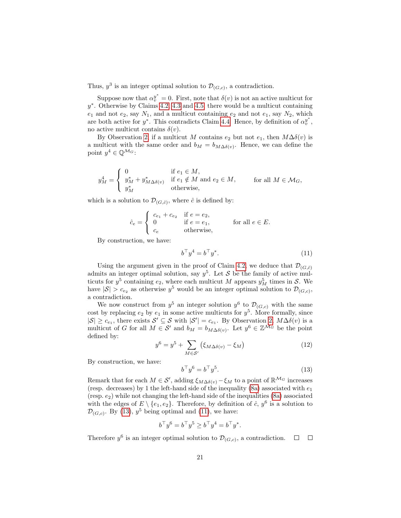Thus,  $y^3$  is an integer optimal solution to  $\mathcal{D}_{(G,c)}$ , a contradiction.

Suppose now that  $\alpha_v^{y^*} = 0$ . First, note that  $\delta(v)$  is not an active multicut for y ∗ . Otherwise by Claims [4.2,](#page-17-2) [4.3](#page-18-1) and [4.5,](#page-18-2) there would be a multicut containing  $e_1$  and not  $e_2$ , say  $N_1$ , and a multicut containing  $e_2$  and not  $e_1$ , say  $N_2$ , which are both active for  $y^*$ . This contradicts Claim [4.4.](#page-18-0) Hence, by definition of  $\alpha_y^{y^*}$ , no active multicut contains  $\delta(v)$ .

By Observation [2,](#page-4-4) if a multicut M contains  $e_2$  but not  $e_1$ , then  $M\Delta\delta(v)$  is a multicut with the same order and  $b_M = b_{M\Delta\delta(v)}$ . Hence, we can define the point  $y^4 \in \mathbb{Q}^{\mathcal{M}_G}$ :

$$
y_M^4 = \begin{cases} 0 & \text{if } e_1 \in M, \\ y_M^* + y_{M \Delta \delta(v)}^* & \text{if } e_1 \notin M \text{ and } e_2 \in M, \\ y_M^* & \text{otherwise,} \end{cases} \quad \text{for all } M \in \mathcal{M}_G,
$$

which is a solution to  $\mathcal{D}_{(G,\hat{c})}$ , where  $\hat{c}$  is defined by:

$$
\hat{c}_e = \begin{cases}\n c_{e_1} + c_{e_2} & \text{if } e = e_2, \\
0 & \text{if } e = e_1, \\
c_e & \text{otherwise,} \n\end{cases}
$$
\nfor all  $e \in E$ .

By construction, we have:

<span id="page-20-1"></span>
$$
b^{\top}y^4 = b^{\top}y^*.\tag{11}
$$

Using the argument given in the proof of Claim [4.2,](#page-17-2) we deduce that  $\mathcal{D}_{(G,\hat{c})}$ admits an integer optimal solution, say  $y^5$ . Let S be the family of active multicuts for  $y^5$  containing  $e_2$ , where each multicut M appears  $y_M^5$  times in S. We have  $|S| > c_{e_2}$  as otherwise  $y^5$  would be an integer optimal solution to  $\mathcal{D}_{(G,c)}$ , a contradiction.

We now construct from  $y^5$  an integer solution  $y^6$  to  $\mathcal{D}_{(G,c)}$  with the same cost by replacing  $e_2$  by  $e_1$  in some active multicuts for  $y^5$ . More formally, since  $|S| \geq c_{e_1}$ , there exists  $S' \subseteq S$  with  $|S'| = c_{e_1}$ . By Observation [2,](#page-4-4)  $M\Delta\delta(v)$  is a multicut of G for all  $M \in \mathcal{S}'$  and  $b_M = b_{M\Delta\delta(v)}$ . Let  $y^6 \in \mathbb{Z}^{\mathcal{M}_G}$  be the point defined by:

$$
y^6 = y^5 + \sum_{M \in \mathcal{S}'} (\xi_{M\Delta\delta(v)} - \xi_M)
$$
 (12)

By construction, we have:

<span id="page-20-0"></span>
$$
b^{\top}y^6 = b^{\top}y^5. \tag{13}
$$

Remark that for each  $M \in \mathcal{S}'$ , adding  $\xi_{M\Delta\delta(v)} - \xi_M$  to a point of  $\mathbb{R}^{\mathcal{M}_G}$  increases (resp. decreases) by 1 the left-hand side of the inequality [\(8a\)](#page-16-1) associated with  $e_1$ (resp.  $e_2$ ) while not changing the left-hand side of the inequalities [\(8a\)](#page-16-1) associated with the edges of  $E \setminus \{e_1, e_2\}$ . Therefore, by definition of  $\hat{c}$ ,  $y^6$  is a solution to  $\mathcal{D}_{(G,c)}$ . By [\(13\)](#page-20-0),  $y^5$  being optimal and [\(11\)](#page-20-1), we have:

$$
b^{\top}y^{6} = b^{\top}y^{5} \ge b^{\top}y^{4} = b^{\top}y^{*}.
$$

Therefore  $y^6$  is an integer optimal solution to  $\mathcal{D}_{(G,c)}$ , a contradiction.  $\Box$  $\Box$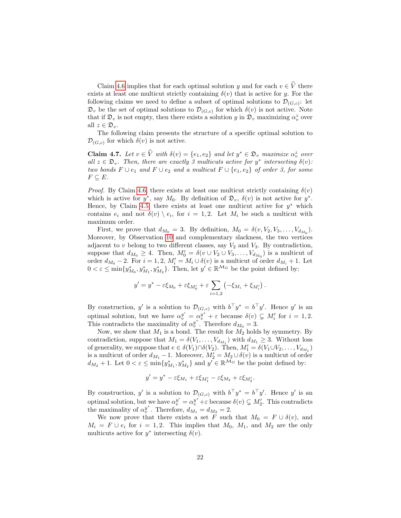Claim [4.6](#page-19-1) implies that for each optimal solution y and for each  $v \in \hat{V}$  there exists at least one multicut strictly containing  $\delta(v)$  that is active for y. For the following claims we need to define a subset of optimal solutions to  $\mathcal{D}_{(G,c)}$ : let  $\mathfrak{D}_v$  be the set of optimal solutions to  $\mathcal{D}_{(G,c)}$  for which  $\delta(v)$  is not active. Note that if  $\mathfrak{D}_v$  is not empty, then there exists a solution y in  $\mathfrak{D}_v$  maximizing  $\alpha_v^z$  over all  $z \in \mathfrak{D}_v$ .

The following claim presents the structure of a specific optimal solution to  $\mathcal{D}_{(G,c)}$  for which  $\delta(v)$  is not active.

<span id="page-21-0"></span>**Claim 4.7.** Let  $v \in \hat{V}$  with  $\delta(v) = \{e_1, e_2\}$  and let  $y^* \in \mathfrak{D}_v$  maximize  $\alpha_v^z$  over all  $z \in \mathfrak{D}_v$ . Then, there are exactly 3 multicuts active for  $y^*$  intersecting  $\delta(v)$ : two bonds  $F \cup e_1$  and  $F \cup e_2$  and a multicut  $F \cup \{e_1, e_2\}$  of order 3, for some  $F \subseteq E$ .

*Proof.* By Claim [4.6,](#page-19-1) there exists at least one multicut strictly containing  $\delta(v)$ which is active for  $y^*$ , say  $M_0$ . By definition of  $\mathfrak{D}_v$ ,  $\delta(v)$  is not active for  $y^*$ . Hence, by Claim [4.5,](#page-18-2) there exists at least one multicut active for  $y^*$  which contains  $e_i$  and not  $\delta(v) \setminus e_i$ , for  $i = 1, 2$ . Let  $M_i$  be such a multicut with maximum order.

First, we prove that  $d_{M_0} = 3$ . By definition,  $M_0 = \delta(v, V_2, V_3, \dots, V_{d_{M_0}})$ . Moreover, by Observation [10](#page-6-4) and complementary slackness, the two vertices adjacent to  $v$  belong to two different classes, say  $V_2$  and  $V_3$ . By contradiction, suppose that  $d_{M_0} \geq 4$ . Then,  $M'_0 = \delta(v \cup V_2 \cup V_3, \ldots, V_{d_{M_0}})$  is a multicut of order  $d_{M_0} - 2$ . For  $i = 1, 2, M'_i = M_i \cup \delta(v)$  is a multicut of order  $d_{M_i} + 1$ . Let  $0 < \varepsilon \le \min\{y_{M_0}^*, y_{M_1}^*, y_{M_2}^*\}.$  Then, let  $y' \in \mathbb{R}^{\mathcal{M}_G}$  be the point defined by:

$$
y' = y^* - \varepsilon \xi_{M_0} + \varepsilon \xi_{M'_0} + \varepsilon \sum_{i=1,2} \left( -\xi_{M_i} + \xi_{M'_i} \right).
$$

By construction, y' is a solution to  $\mathcal{D}_{(G,c)}$  with  $b^{\top}y^* = b^{\top}y'$ . Hence y' is an optimal solution, but we have  $\alpha_v^{y'} = \alpha_v^{y^*} + \varepsilon$  because  $\delta(v) \subsetneq M'_i$  for  $i = 1, 2$ . This contradicts the maximality of  $\alpha_v^{y^*}$ . Therefore  $d_{M_0} = 3$ .

Now, we show that  $M_1$  is a bond. The result for  $M_2$  holds by symmetry. By contradiction, suppose that  $M_1 = \delta(V_1, \ldots, V_{d_{M_1}})$  with  $d_{M_1} \geq 3$ . Without loss of generality, we suppose that  $e \in \delta(V_1) \cap \delta(V_2)$ . Then,  $M'_1 = \delta(V_1 \cup V_2, \ldots, V_{d_{M_1}})$ is a multicut of order  $d_{M_1} - 1$ . Moreover,  $M_2' = M_2 \cup \delta(v)$  is a multicut of order  $d_{M_2} + 1$ . Let  $0 < \varepsilon \le \min\{y_{M_1}^*, y_{M_2}^*\}\$ and  $y' \in \mathbb{R}^{\mathcal{M}_G}$  be the point defined by:

$$
y' = y^* - \varepsilon \xi_{M_1} + \varepsilon \xi_{M'_1} - \varepsilon \xi_{M_2} + \varepsilon \xi_{M'_2}.
$$

By construction, y' is a solution to  $\mathcal{D}_{(G,c)}$  with  $b^{\top}y^* = b^{\top}y'$ . Hence y' is an optimal solution, but we have  $\alpha_v^{y'} = \alpha_v^{y^*} + \varepsilon$  because  $\delta(v) \subsetneq M'_2$ . This contradicts the maximality of  $\alpha_v^{y^*}$ . Therefore,  $d_{M_1} = d_{M_2} = 2$ .

We now prove that there exists a set F such that  $M_0 = F \cup \delta(v)$ , and  $M_i = F \cup e_i$  for  $i = 1, 2$ . This implies that  $M_0, M_1$ , and  $M_2$  are the only multicuts active for  $y^*$  intersecting  $\delta(v)$ .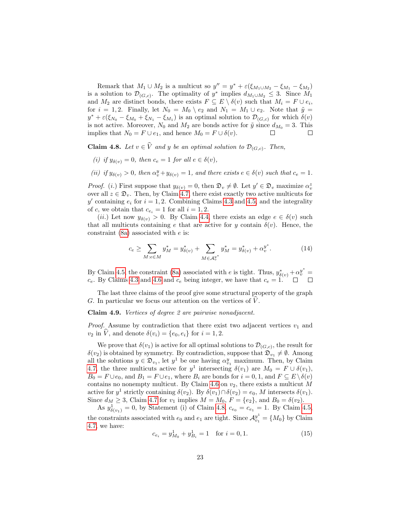Remark that  $M_1 \cup M_2$  is a multicut so  $y'' = y^* + \varepsilon(\xi_{M_1 \cup M_2} - \xi_{M_1} - \xi_{M_2})$ is a solution to  $\mathcal{D}_{(G,c)}$ . The optimality of  $y^*$  implies  $d_{M_1\cup M_2} \leq 3$ . Since  $M_1$ and  $M_2$  are distinct bonds, there exists  $F \subseteq E \setminus \delta(v)$  such that  $M_i = F \cup e_i$ , for  $i = 1, 2$ . Finally, let  $N_0 = M_0 \setminus e_2$  and  $N_1 = M_1 \cup e_2$ . Note that  $\tilde{y} =$  $y^* + \varepsilon (\xi_{N_0} - \xi_{M_0} + \xi_{N_1} - \xi_{M_1})$  is an optimal solution to  $\mathcal{D}_{(G,c)}$  for which  $\delta(v)$ is not active. Moreover,  $N_0$  and  $M_2$  are bonds active for  $\tilde{y}$  since  $d_{M_0} = 3$ . This implies that  $N_0 = F \cup e_1$ , and hence  $M_0 = F \cup \delta(v)$ .

<span id="page-22-0"></span>**Claim 4.8.** Let  $v \in V$  and y be an optimal solution to  $\mathcal{D}_{(G,c)}$ . Then,

- (i) if  $y_{\delta(v)} = 0$ , then  $c_e = 1$  for all  $e \in \delta(v)$ ,
- (ii) if  $y_{\delta(v)} > 0$ , then  $\alpha_v^y + y_{\delta(v)} = 1$ , and there exists  $e \in \delta(v)$  such that  $c_e = 1$ .

*Proof.* (*i*.) First suppose that  $y_{\delta(v)} = 0$ , then  $\mathfrak{D}_v \neq \emptyset$ . Let  $y' \in \mathfrak{D}_v$  maximize  $\alpha_v^z$ over all  $z \in \mathfrak{D}_v$ . Then, by Claim [4.7,](#page-21-0) there exist exactly two active multicuts for y' containing  $e_i$  for  $i = 1, 2$ . Combining Claims [4.3](#page-18-1) and [4.5,](#page-18-2) and the integrality of c, we obtain that  $c_{e_i} = 1$  for all  $i = 1, 2$ .

(ii.) Let now  $y_{\delta(v)} > 0$ . By Claim [4.4,](#page-18-0) there exists an edge  $e \in \delta(v)$  such that all multicuts containing e that are active for y contain  $\delta(v)$ . Hence, the constraint [\(8a\)](#page-16-1) associated with e is:

$$
c_e \ge \sum_{M: e \in M} y_M^* = y_{\delta(v)}^* + \sum_{M \in \mathcal{A}_v^{y^*}} y_M^* = y_{\delta(v)}^* + \alpha_v^{y^*}.
$$
 (14)

By Claim [4.5,](#page-18-2) the constraint [\(8a\)](#page-16-1) associated with e is tight. Thus,  $y_{\delta(v)}^* + \alpha_v^{y^*} =$  $c_e$ . By Claims [4.3](#page-18-1) and [4.6](#page-19-1) and  $c_e$  being integer, we have that  $c_e = 1$ .

The last three claims of the proof give some structural property of the graph G. In particular we focus our attention on the vertices of  $V$ .

<span id="page-22-1"></span>Claim 4.9. Vertices of degree 2 are pairwise nonadjacent.

*Proof.* Assume by contradiction that there exist two adjacent vertices  $v_1$  and  $v_2$  in V, and denote  $\delta(v_i) = \{e_0, e_i\}$  for  $i = 1, 2$ .

We prove that  $\delta(v_1)$  is active for all optimal solutions to  $\mathcal{D}_{(G,c)}$ , the result for  $\delta(v_2)$  is obtained by symmetry. By contradiction, suppose that  $\mathfrak{D}_{v_1} \neq \emptyset$ . Among all the solutions  $y \in \mathfrak{D}_{v_1}$ , let  $y^1$  be one having  $\alpha_{v_1}^y$  maximum. Then, by Claim [4.7,](#page-21-0) the three multicuts active for  $y^1$  intersecting  $\delta(v_1)$  are  $M_0 = F \cup \delta(v_1)$ ,  $B_0 = F \cup e_0$ , and  $B_1 = F \cup e_1$ , where  $B_i$  are bonds for  $i = 0, 1$ , and  $F \subseteq E \setminus \delta(v)$ contains no nonempty multicut. By Claim [4.6](#page-19-1) on  $v_2$ , there exists a multicut M active for  $y^1$  strictly containing  $\delta(v_2)$ . By  $\delta(v_1) \cap \delta(v_2) = e_0$ , M intersects  $\delta(v_1)$ . Since  $d_M \ge 3$ , Claim [4.7](#page-21-0) for  $v_1$  implies  $M = M_0$ ,  $F = \{e_2\}$ , and  $B_0 = \delta(v_2)$ .

As  $y_{\delta(v_1)}^1 = 0$ , by Statement (i) of Claim [4.8,](#page-22-0)  $c_{e_0} = c_{e_1} = 1$ . By Claim [4.5,](#page-18-2) the constraints associated with  $e_0$  and  $e_1$  are tight. Since  $\mathcal{A}_{v_1}^{y_1} = \{M_0\}$  by Claim [4.7,](#page-21-0) we have:

<span id="page-22-2"></span>
$$
c_{e_i} = y_{M_0}^1 + y_{B_i}^1 = 1 \quad \text{for } i = 0, 1.
$$
 (15)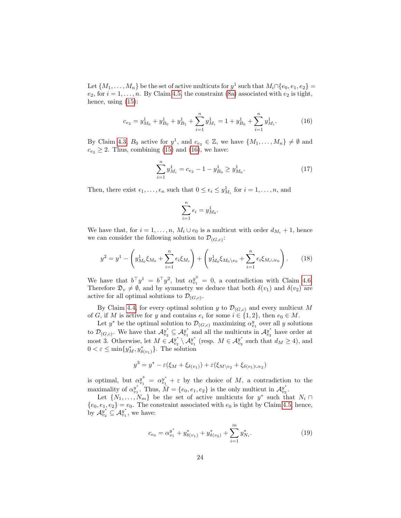Let  $\{M_1, \ldots, M_n\}$  be the set of active multicuts for  $y^1$  such that  $M_i \cap \{e_0, e_1, e_2\}$  $e_2$ , for  $i = 1, \ldots, n$ . By Claim [4.5,](#page-18-2) the constraint [\(8a\)](#page-16-1) associated with  $e_2$  is tight, hence, using [\(15\)](#page-22-2):

<span id="page-23-0"></span>
$$
c_{e_2} = y_{M_0}^1 + y_{B_0}^1 + y_{B_1}^1 + \sum_{i=1}^n y_{M_i}^1 = 1 + y_{B_0}^1 + \sum_{i=1}^n y_{M_i}^1.
$$
 (16)

By Claim [4.3,](#page-18-1)  $B_0$  active for  $y^1$ , and  $c_{e_2} \in \mathbb{Z}$ , we have  $\{M_1, \ldots, M_n\} \neq \emptyset$  and  $c_{e_2} \geq 2$ . Thus, combining [\(15\)](#page-22-2) and [\(16\)](#page-23-0), we have:

$$
\sum_{i=1}^{n} y_{M_i}^1 = c_{e_2} - 1 - y_{B_0}^1 \ge y_{M_0}^1. \tag{17}
$$

Then, there exist  $\epsilon_1, \ldots, \epsilon_n$  such that  $0 \leq \epsilon_i \leq y_{M_i}^1$  for  $i = 1, \ldots, n$ , and

$$
\sum_{i=1}^n \epsilon_i = y_{M_0}^1.
$$

We have that, for  $i = 1, ..., n$ ,  $M_i \cup e_0$  is a multicut with order  $d_{M_i} + 1$ , hence we can consider the following solution to  $\mathcal{D}_{(G,c)}$ :

$$
y^{2} = y^{1} - \left(y_{M_{0}}^{1}\xi_{M_{0}} + \sum_{i=1}^{n} \epsilon_{i}\xi_{M_{i}}\right) + \left(y_{M_{0}}^{1}\xi_{M_{0}\setminus e_{0}} + \sum_{i=1}^{n} \epsilon_{i}\xi_{M_{i}\cup e_{0}}\right).
$$
 (18)

We have that  $b^{\top}y^{1} = b^{\top}y^{2}$ , but  $\alpha_{v_{1}}^{y^{2}} = 0$ , a contradiction with Claim [4.6.](#page-19-1) Therefore  $\mathfrak{D}_v \neq \emptyset$ , and by symmetry we deduce that both  $\delta(v_1)$  and  $\delta(v_2)$  are active for all optimal solutions to  $\mathcal{D}_{(G,c)}$ .

By Claim [4.4,](#page-18-0) for every optimal solution y to  $\mathcal{D}_{(G,c)}$  and every multicut M of G, if M is active for y and contains  $e_i$  for some  $i \in \{1,2\}$ , then  $e_0 \in M$ .

Let  $y^*$  be the optimal solution to  $\mathcal{D}_{(G,c)}$  maximizing  $\alpha_{v_1}^y$  over all y solutions to  $\mathcal{D}_{(G,c)}$ . We have that  $\mathcal{A}_{v_2}^{y^*} \subseteq \mathcal{A}_{v_1}^{y^*}$  and all the multicuts in  $\mathcal{A}_{v_2}^{y^*}$  have order at most 3. Otherwise, let  $M \in \mathcal{A}_{v_2}^{y^*} \setminus \mathcal{A}_{v_1}^{y^*}$  (resp.  $M \in \mathcal{A}_{v_2}^{y^*}$  such that  $d_M \ge 4$ ), and  $0 < \varepsilon \le \min\{y_M^*, y_{\delta(v_1)}^*\}$ . The solution

$$
y^3 = y^* - \varepsilon(\xi_M + \xi_{\delta(v_1)}) + \varepsilon(\xi_{M \setminus e_2} + \xi_{\delta(v_1) \cup e_2})
$$

is optimal, but  $\alpha_{v_1}^{y^3} = \alpha_{v_1}^{y^4} + \varepsilon$  by the choice of M, a contradiction to the maximality of  $\alpha_{v_1}^{y^*}$ . Thus,  $\overline{M} = \{e_0, e_1, e_2\}$  is the only multicut in  $\mathcal{A}_{v_2}^{y^*}$ .

Let  $\{N_1, \ldots, N_m\}$  be the set of active multicuts for  $y^*$  such that  $N_i \cap$  ${e_0, e_1, e_2} = e_0$ . The constraint associated with  $e_0$  is tight by Claim [4.5,](#page-18-2) hence, by  $\mathcal{A}_{v_2}^{y^*} \subseteq \mathcal{A}_{v_1}^{y^*}$ , we have:

$$
c_{e_0} = \alpha_{v_1}^{y^*} + y_{\delta(v_1)}^* + y_{\delta(v_2)}^* + \sum_{i=1}^m y_{N_i}^*.
$$
 (19)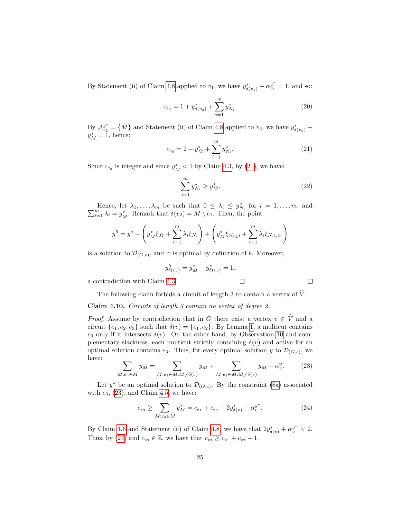By Statement (ii) of Claim [4.8](#page-22-0) applied to  $v_1$ , we have  $y_{\delta(v_1)}^* + \alpha_{v_1}^{y^*} = 1$ , and so:

$$
c_{e_0} = 1 + y_{\delta(v_2)}^* + \sum_{i=1}^m y_{N_i}^*.
$$
 (20)

By  $\mathcal{A}_{v_2}^{y^*} = \{\bar{M}\}\$  and Statement (ii) of Claim [4.8](#page-22-0) applied to  $v_2$ , we have  $y^*_{\delta(v_2)}$  +  $y_{\bar{M}}^* = 1$ , hence:

<span id="page-24-1"></span>
$$
c_{e_0} = 2 - y_{\bar{M}}^* + \sum_{i=1}^m y_{N_i}^*.
$$
 (21)

Since  $c_{e_0}$  is integer and since  $y_{\overline{M}}^* < 1$  by Claim [4.3,](#page-18-1) by [\(21\)](#page-24-1), we have:

$$
\sum_{i=1}^{m} y_{N_i}^* \ge y_{\bar{M}}^*.
$$
\n(22)

 $\Box$ 

Hence, let  $\lambda_1, \ldots, \lambda_m$  be such that  $0 \leq \lambda_i \leq y^*_{N_i}$  for  $i = 1, \ldots, m$ , and  $\sum_{i=1}^m \lambda_i = y^*_{\bar{M}}$ . Remark that  $\delta(v_2) = \bar{M} \setminus e_1$ . Then, the point

$$
y^{5} = y^{*} - \left(y_{\bar{M}}^{*} \xi_{\bar{M}} + \sum_{i=1}^{m} \lambda_{i} \xi_{N_{i}}\right) + \left(y_{\bar{M}}^{*} \xi_{\delta(v_{2})} + \sum_{i=1}^{m} \lambda_{i} \xi_{N_{i} \cup e_{1}}\right)
$$

is a solution to  $\mathcal{D}_{(G,c)}$ , and it is optimal by definition of b. Moreover,

$$
y_{\delta(v_2)}^5 = y_{\bar{M}}^* + y_{\delta(v_2)}^* = 1,
$$

a contradiction with Claim [4.3.](#page-18-1)

The following claim forbids a circuit of length 3 to contain a vertex of  $\hat{V}$ .

<span id="page-24-0"></span>Claim 4.10. Circuits of length 3 contain no vertex of degree 2.

*Proof.* Assume by contradiction that in G there exist a vertex  $v \in \hat{V}$  and a circuit  $\{e_1, e_2, e_3\}$  such that  $\delta(v) = \{e_1, e_2\}$ . By Lemma [1,](#page-4-5) a multicut contains  $e_3$  only if it intersects  $\delta(v)$ . On the other hand, by Observation [10](#page-6-4) and complementary slackness, each multicut strictly containing  $\delta(v)$  and active for an optimal solution contains  $e_3$ . Thus, for every optimal solution y to  $\mathcal{D}_{(G,c)}$ , we have:

<span id="page-24-2"></span>
$$
\sum_{M:e_3 \in M} y_M = \sum_{M:e_1 \in M, M \neq \delta(v)} y_M + \sum_{M:e_2 \in M, M \neq \delta(v)} y_M - \alpha_v^y. \tag{23}
$$

Let  $y^*$  be an optimal solution to  $\mathcal{D}_{(G,c)}$ . By the constraint [\(8a\)](#page-16-1) associated with  $e_3$ ,  $(23)$ , and Claim [4.5,](#page-18-2) we have:

<span id="page-24-3"></span>
$$
c_{e_3} \ge \sum_{M: e_3 \in M} y_M^* = c_{e_1} + c_{e_2} - 2y_{\delta(v)}^* - \alpha_v^{y^*}.
$$
 (24)

By Claim [4.6](#page-19-1) and Statement (ii) of Claim [4.8,](#page-22-0) we have that  $2y_{\delta(v)}^* + \alpha_v^{y^*} < 2$ . Thus, by [\(24\)](#page-24-3) and  $c_{e_3} \in \mathbb{Z}$ , we have that  $c_{e_3} \geq c_{e_1} + c_{e_2} - 1$ .

 $\Box$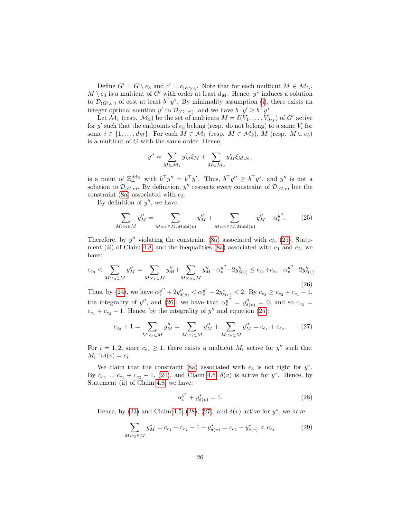Define  $G' = G \setminus e_3$  and  $c' = c_{|E \setminus e_3}$ . Note that for each multicut  $M \in \mathcal{M}_G$ ,  $M \setminus e_3$  is a multicut of G' with order at least  $d_M$ . Hence,  $y^*$  induces a solution to  $\mathcal{D}_{(G',c')}$  of cost at least  $b^{\top}y^*$ . By minimality assumption [\(i\)](#page-16-0), there exists an integer optimal solution y' to  $\mathcal{D}_{(G',c')}$ , and we have  $b^{\top}y' \geq b^{\top}y^*$ .

Let  $\mathcal{M}_1$  (resp.  $\mathcal{M}_2$ ) be the set of multicuts  $M = \delta(V_1, \ldots, V_{d_M})$  of G' active for  $y'$  such that the endpoints of  $e_3$  belong (resp. do not belong) to a same  $V_i$  for some  $i \in \{1, \ldots, d_M\}$ . For each  $M \in \mathcal{M}_1$  (resp.  $M \in \mathcal{M}_2$ ),  $M$  (resp.  $M \cup e_3$ ) is a multicut of G with the same order. Hence,

$$
y'' = \sum_{M \in \mathcal{M}_1} y'_M \xi_M + \sum_{M \in \mathcal{M}_2} y'_M \xi_{M \cup e_3}
$$

is a point of  $\mathbb{Z}_{+}^{\mathcal{M}_{G}}$  with  $b^{\top}y'' = b^{\top}y'$ . Thus,  $b^{\top}y'' \geq b^{\top}y^*$ , and  $y''$  is not a solution to  $\mathcal{D}_{(G,c)}$ . By definition, y'' respects every constraint of  $\mathcal{D}_{(G,c)}$  but the constraint [\(8a\)](#page-16-1) associated with  $e_3$ .

By definition of  $y''$ , we have:

<span id="page-25-0"></span>
$$
\sum_{M:e_3 \in M} y_M'' = \sum_{M:e_1 \in M, M \neq \delta(v)} y_M'' + \sum_{M:e_2 \in M, M \neq \delta(v)} y_M'' - \alpha_v^{y''}.
$$
 (25)

Therefore, by  $y''$  violating the constraint [\(8a\)](#page-16-1) associated with  $e_3$ , [\(25\)](#page-25-0), State-ment (ii) of Claim [4.8,](#page-22-0) and the inequalities [\(8a\)](#page-16-1) associated with  $e_1$  and  $e_2$ , we have:

<span id="page-25-1"></span>
$$
c_{e_3} < \sum_{M: e_3 \in M} y_M'' = \sum_{M: e_1 \in M} y_M'' + \sum_{M: e_2 \in M} y_M'' - \alpha_v^{y''} - 2y_{\delta(v)}'' \le c_{e_1} + c_{e_2} - \alpha_v^{y''} - 2y_{\delta(v)}''
$$
\n
$$
(26)
$$

Thus, by [\(24\)](#page-24-3), we have  $\alpha_v^{y''} + 2y_{\delta(v)}'' < \alpha_v^{y^*} + 2y_{\delta(v)}^* < 2$ . By  $c_{e_3} \ge c_{e_2} + c_{e_1} - 1$ , the integrality of y'', and [\(26\)](#page-25-1), we have that  $\alpha_v^{y''} = y_{\delta(v)}'' = 0$ , and so  $c_{e_3} =$  $c_{e_1} + c_{e_2} - 1$ . Hence, by the integrality of y'' and equation [\(25\)](#page-25-0):

<span id="page-25-3"></span>
$$
c_{e_3} + 1 = \sum_{M: e_3 \in M} y_M'' = \sum_{M: e_1 \in M} y_M'' + \sum_{M: e_2 \in M} y_M'' = c_{e_1} + c_{e_2}.
$$
 (27)

For  $i = 1, 2$ , since  $c_{e_i} \geq 1$ , there exists a multicut  $M_i$  active for  $y''$  such that  $M_i \cap \delta(v) = e_i.$ 

We claim that the constraint [\(8a\)](#page-16-1) associated with  $e_3$  is not tight for  $y^*$ . By  $c_{e_3} = c_{e_1} + c_{e_2} - 1$ , [\(24\)](#page-24-3), and Claim [4.6,](#page-19-1)  $\delta(v)$  is active for  $y^*$ . Hence, by Statement (ii) of Claim [4.8,](#page-22-0) we have:

<span id="page-25-2"></span>
$$
\alpha_v^{y^*} + y_{\delta(v)}^* = 1.
$$
\n(28)

.

Hence, by [\(23\)](#page-24-2) and Claim [4.5,](#page-18-2) [\(28\)](#page-25-2), [\(27\)](#page-25-3), and  $\delta(v)$  active for  $y^*$ , we have:

$$
\sum_{M: e_3 \in M} y_M^* = c_{e_1} + c_{e_2} - 1 - y_{\delta(v)}^* = c_{e_3} - y_{\delta(v)}^* < c_{e_3}.\tag{29}
$$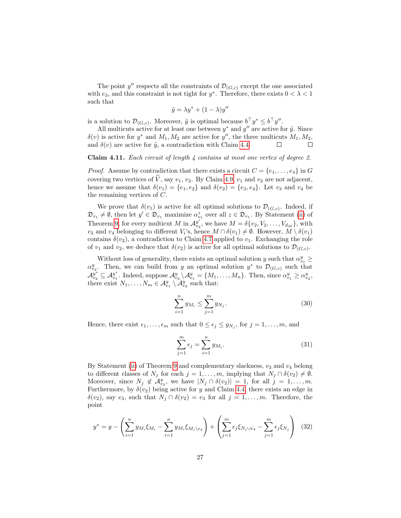The point  $y''$  respects all the constraints of  $\mathcal{D}_{(G,c)}$  except the one associated with  $e_3$ , and this constraint is not tight for  $y^*$ . Therefore, there exists  $0 < \lambda < 1$ such that

$$
\tilde{y} = \lambda y^* + (1 - \lambda) y''
$$

is a solution to  $\mathcal{D}_{(G,c)}$ . Moreover,  $\tilde{y}$  is optimal because  $b^{\top} y^* \leq b^{\top} y''$ .

All multicuts active for at least one between  $y^*$  and  $y''$  are active for  $\tilde{y}$ . Since  $\delta(v)$  is active for  $y^*$  and  $M_1, M_2$  are active for  $y''$ , the three multicuts  $M_1, M_2$ , and  $\delta(v)$  are active for  $\tilde{y}$ , a contradiction with Claim [4.4.](#page-18-0)  $\Box$ 

<span id="page-26-0"></span>Claim 4.11. Each circuit of length  $\lambda$  contains at most one vertex of degree 2.

*Proof.* Assume by contradiction that there exists a circuit  $C = \{e_1, \ldots, e_4\}$  in G covering two vertices of  $\hat{V}$ , say  $v_1$ ,  $v_2$ . By Claim [4.9,](#page-22-1)  $v_1$  and  $v_2$  are not adjacent, hence we assume that  $\delta(v_1) = \{e_1, e_2\}$  and  $\delta(v_2) = \{e_3, e_4\}$ . Let  $v_3$  and  $v_4$  be the remaining vertices of C.

We prove that  $\delta(v_1)$  is active for all optimal solutions to  $\mathcal{D}_{(G,c)}$ . Indeed, if  $\mathfrak{D}_{v_1} \neq \emptyset$ , then let  $y' \in \mathfrak{D}_{v_1}$  maximize  $\alpha_{v_1}^z$  over all  $z \in \mathfrak{D}_{v_1}$ . By Statement [\(ii\)](#page-6-7) of Theorem [9,](#page-6-3) for every multicut M in  $\mathcal{A}_{v_2}^{y'}$ , we have  $M = \delta\{v_2, V_2, \ldots, V_{d_M}\}\,$  with  $v_3$  and  $v_4$  belonging to different  $V_i$ 's, hence  $M \cap \delta(v_1) \neq \emptyset$ . However,  $M \setminus \delta(v_1)$ contains  $\delta(v_2)$ , a contradiction to Claim [4.7](#page-21-0) applied to  $v_1$ . Exchanging the role of  $v_1$  and  $v_2$ , we deduce that  $\delta(v_2)$  is active for all optimal solutions to  $\mathcal{D}_{(G,c)}$ .

Without loss of generality, there exists an optimal solution y such that  $\alpha_{v_1}^y \geq$  $\alpha_{v_2}^y$ . Then, we can build from y an optimal solution  $y^*$  to  $\mathcal{D}_{(G,c)}$  such that  $\mathcal{A}_{v_2}^{y^*} \subseteq \mathcal{A}_{v_1}^{y^*}$ . Indeed, suppose  $\mathcal{A}_{v_2}^y \setminus \mathcal{A}_{v_1}^y = \{M_1, \ldots, M_n\}$ . Then, since  $\alpha_{v_1}^y \geq \alpha_{v_2}^y$ , there exist  $N_1, \ldots, N_m \in \mathcal{A}_{v_1}^y \setminus \mathcal{A}_{v_2}^y$  such that:

$$
\sum_{i=1}^{n} y_{M_i} \le \sum_{j=1}^{m} y_{N_j}.
$$
\n(30)

Hence, there exist  $\epsilon_1, \ldots, \epsilon_m$  such that  $0 \leq \epsilon_j \leq y_{N_j}$ , for  $j = 1, \ldots, m$ , and

$$
\sum_{j=1}^{m} \epsilon_j = \sum_{i=1}^{n} y_{M_i}.
$$
\n(31)

By Statement [\(ii\)](#page-6-7) of Theorem [9](#page-6-3) and complementary slackness,  $v_3$  and  $v_4$  belong to different classes of  $N_j$  for each  $j = 1, \ldots, m$ , implying that  $N_j \cap \delta(v_2) \neq \emptyset$ . Moreover, since  $N_j \notin \mathcal{A}_{v_2}^y$ , we have  $|N_j \cap \delta(v_2)| = 1$ , for all  $j = 1, \ldots, m$ . Furthermore, by  $\delta(v_2)$  being active for y and Claim [4.4,](#page-18-0) there exists an edge in  $\delta(v_2)$ , say  $e_3$ , such that  $N_j \cap \delta(v_2) = e_3$  for all  $j = 1, \ldots, m$ . Therefore, the point

$$
y^* = y - \left(\sum_{i=1}^n y_{M_i} \xi_{M_i} - \sum_{i=1}^n y_{M_i} \xi_{M_i \setminus e_4}\right) + \left(\sum_{j=1}^m \epsilon_j \xi_{N_j \cup e_4} - \sum_{j=1}^m \epsilon_j \xi_{N_j}\right) (32)
$$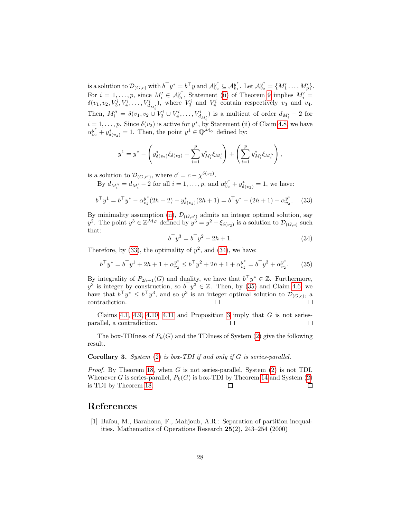is a solution to  $\mathcal{D}_{(G,c)}$  with  $b^{\top}y^* = b^{\top}y$  and  $\mathcal{A}_{v_2}^{y^*} \subseteq \mathcal{A}_{v_1}^{y^*}$ . Let  $\mathcal{A}_{v_2}^{y^*} = \{M'_1, \ldots, M'_p\}$ . For  $i = 1, ..., p$ , since  $M'_i \in \mathcal{A}_{v_1}^{y^*}$ , Statement [\(ii\)](#page-6-7) of Theorem [9](#page-6-3) implies  $M'_i =$  $\delta(v_1, v_2, V_3^i, V_4^i, \dots, V_{d_{M'_i}}^i)$ , where  $V_3^i$  and  $V_4^i$  contain respectively  $v_3$  and  $v_4$ . Then,  $M''_i = \delta(v_1, v_2 \cup V_3^i \cup V_4^i, \dots, V_{d_{M'_i}}^i)$  is a multicut of order  $d_{M'_i} - 2$  for  $i = 1, \ldots, p$ . Since  $\delta(v_2)$  is active for  $y^*$ , by Statement (ii) of Claim [4.8,](#page-22-0) we have  $\alpha_{v_2}^{y^*} + y^*_{\delta(v_2)} = 1$ . Then, the point  $y^1 \in \mathbb{Q}^{\mathcal{M}_G}$  defined by:

$$
y^{1} = y^{*} - \left(y^{*}_{\delta(v_{2})}\xi_{\delta(v_{2})} + \sum_{i=1}^{p} y^{*}_{M'_{i}}\xi_{M'_{i}}\right) + \left(\sum_{i=1}^{p} y^{*}_{M'_{i}}\xi_{M''_{i}}\right),
$$

is a solution to  $\mathcal{D}_{(G,c')}$ , where  $c' = c - \chi^{\delta(v_2)}$ .

By  $d_{M''_i} = d_{M'_i} - 2$  for all  $i = 1, ..., p$ , and  $\alpha_{v_2}^{y^*} + y^*_{\delta(v_2)} = 1$ , we have:

<span id="page-27-1"></span>
$$
b^{\top}y^{1} = b^{\top}y^{*} - \alpha_{v_{2}}^{y^{*}}(2h+2) - y_{\delta(v_{2})}^{*}(2h+1) = b^{\top}y^{*} - (2h+1) - \alpha_{v_{2}}^{y^{*}}.
$$
 (33)

By minimality assumption [\(ii\)](#page-17-0),  $\mathcal{D}_{(G,c')}$  admits an integer optimal solution, say  $y^2$ . The point  $y^3 \in \mathbb{Z}^{\bar{\mathcal{M}}_G}$  defined by  $y^3 = y^2 + \xi_{\delta(v_2)}$  is a solution to  $\mathcal{D}_{(G,c)}$  such that:

<span id="page-27-2"></span>
$$
b^{\top}y^3 = b^{\top}y^2 + 2h + 1.
$$
 (34)

Therefore, by  $(33)$ , the optimality of  $y^2$ , and  $(34)$ , we have:

<span id="page-27-3"></span>
$$
b^{\top}y^* = b^{\top}y^1 + 2h + 1 + \alpha_{v_2}^{y^*} \le b^{\top}y^2 + 2h + 1 + \alpha_{v_2}^{y^*} = b^{\top}y^3 + \alpha_{v_2}^{y^*}.
$$
 (35)

By integrality of  $P_{2h+1}(G)$  and duality, we have that  $b^{\top}y^* \in \mathbb{Z}$ . Furthermore,  $y^3$  is integer by construction, so  $b^{\top}y^3 \in \mathbb{Z}$ . Then, by [\(35\)](#page-27-3) and Claim [4.6,](#page-19-1) we have that  $b^{\top} y^* \leq b^{\top} y^3$ , and so  $y^3$  is an integer optimal solution to  $\mathcal{D}_{(G,c)}$ , a contradiction.  $\Box$  $\Box$ 

Claims [4.1,](#page-17-1) [4.9,](#page-22-1) [4.10,](#page-24-0) [4.11](#page-26-0) and Proposition [3](#page-4-0) imply that  $G$  is not seriesparallel, a contradiction.  $\Box$  $\Box$ 

The box-TDIness of  $P_k(G)$  and the TDIness of System [\(2\)](#page-6-6) give the following result.

#### **Corollary 3.** System  $(2)$  is box-TDI if and only if G is series-parallel.

*Proof.* By Theorem [18,](#page-16-2) when  $G$  is not series-parallel, System  $(2)$  is not TDI. Whenever G is series-parallel,  $P_k(G)$  is box-TDI by Theorem [14](#page-8-0) and System [\(2\)](#page-6-6) is TDI by Theorem [18.](#page-16-2)  $\Box$  $\Box$ 

### References

<span id="page-27-0"></span>[1] Baïou, M., Barahona, F., Mahjoub, A.R.: Separation of partition inequalities. Mathematics of Operations Research 25(2), 243–254 (2000)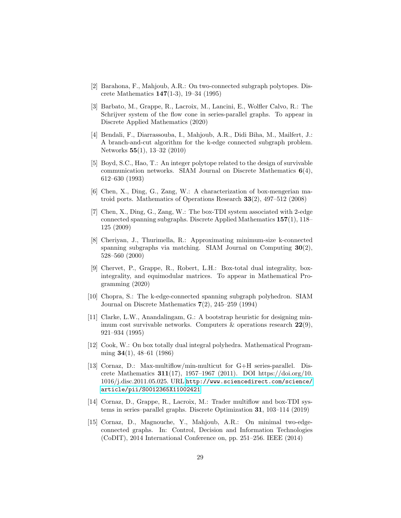- <span id="page-28-10"></span>[2] Barahona, F., Mahjoub, A.R.: On two-connected subgraph polytopes. Discrete Mathematics 147(1-3), 19–34 (1995)
- <span id="page-28-3"></span>[3] Barbato, M., Grappe, R., Lacroix, M., Lancini, E., Wolfler Calvo, R.: The Schrijver system of the flow cone in series-parallel graphs. To appear in Discrete Applied Mathematics (2020)
- <span id="page-28-5"></span>[4] Bendali, F., Diarrassouba, I., Mahjoub, A.R., Didi Biha, M., Mailfert, J.: A branch-and-cut algorithm for the k-edge connected subgraph problem. Networks 55(1), 13–32 (2010)
- <span id="page-28-11"></span>[5] Boyd, S.C., Hao, T.: An integer polytope related to the design of survivable communication networks. SIAM Journal on Discrete Mathematics  $6(4)$ , 612–630 (1993)
- <span id="page-28-1"></span>[6] Chen, X., Ding, G., Zang, W.: A characterization of box-mengerian matroid ports. Mathematics of Operations Research 33(2), 497–512 (2008)
- <span id="page-28-4"></span>[7] Chen, X., Ding, G., Zang, W.: The box-TDI system associated with 2-edge connected spanning subgraphs. Discrete Applied Mathematics 157(1), 118– 125 (2009)
- <span id="page-28-7"></span>[8] Cheriyan, J., Thurimella, R.: Approximating minimum-size k-connected spanning subgraphs via matching. SIAM Journal on Computing 30(2), 528–560 (2000)
- <span id="page-28-12"></span>[9] Chervet, P., Grappe, R., Robert, L.H.: Box-total dual integrality, boxintegrality, and equimodular matrices. To appear in Mathematical Programming (2020)
- <span id="page-28-9"></span>[10] Chopra, S.: The k-edge-connected spanning subgraph polyhedron. SIAM Journal on Discrete Mathematics 7(2), 245–259 (1994)
- <span id="page-28-8"></span>[11] Clarke, L.W., Anandalingam, G.: A bootstrap heuristic for designing minimum cost survivable networks. Computers  $\&$  operations research  $22(9)$ , 921–934 (1995)
- <span id="page-28-0"></span>[12] Cook, W.: On box totally dual integral polyhedra. Mathematical Programming 34(1), 48–61 (1986)
- <span id="page-28-13"></span>[13] Cornaz, D.: Max-multiflow/min-multicut for G+H series-parallel. Discrete Mathematics 311(17), 1957–1967 (2011). DOI https://doi.org/10. 1016/j.disc.2011.05.025. URL [http://www.sciencedirect.com/science/](http://www.sciencedirect.com/science/article/pii/S0012365X11002421) [article/pii/S0012365X11002421](http://www.sciencedirect.com/science/article/pii/S0012365X11002421)
- <span id="page-28-2"></span>[14] Cornaz, D., Grappe, R., Lacroix, M.: Trader multiflow and box-TDI systems in series–parallel graphs. Discrete Optimization 31, 103–114 (2019)
- <span id="page-28-6"></span>[15] Cornaz, D., Magnouche, Y., Mahjoub, A.R.: On minimal two-edgeconnected graphs. In: Control, Decision and Information Technologies (CoDIT), 2014 International Conference on, pp. 251–256. IEEE (2014)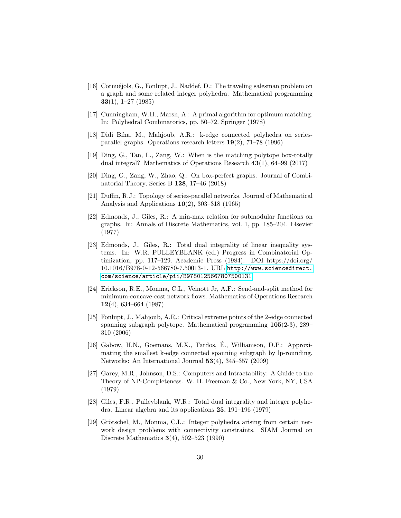- <span id="page-29-8"></span>[16] Cornuéjols, G., Fonlupt, J., Naddef, D.: The traveling salesman problem on a graph and some related integer polyhedra. Mathematical programming  $33(1), 1-27(1985)$
- <span id="page-29-3"></span>[17] Cunningham, W.H., Marsh, A.: A primal algorithm for optimum matching. In: Polyhedral Combinatorics, pp. 50–72. Springer (1978)
- <span id="page-29-9"></span>[18] Didi Biha, M., Mahjoub, A.R.: k-edge connected polyhedra on seriesparallel graphs. Operations research letters 19(2), 71–78 (1996)
- <span id="page-29-2"></span>[19] Ding, G., Tan, L., Zang, W.: When is the matching polytope box-totally dual integral? Mathematics of Operations Research 43(1), 64–99 (2017)
- <span id="page-29-4"></span>[20] Ding, G., Zang, W., Zhao, Q.: On box-perfect graphs. Journal of Combinatorial Theory, Series B 128, 17–46 (2018)
- <span id="page-29-12"></span>[21] Duffin, R.J.: Topology of series-parallel networks. Journal of Mathematical Analysis and Applications  $10(2)$ , 303-318 (1965)
- <span id="page-29-13"></span>[22] Edmonds, J., Giles, R.: A min-max relation for submodular functions on graphs. In: Annals of Discrete Mathematics, vol. 1, pp. 185–204. Elsevier (1977)
- <span id="page-29-1"></span>[23] Edmonds, J., Giles, R.: Total dual integrality of linear inequality systems. In: W.R. PULLEYBLANK (ed.) Progress in Combinatorial Optimization, pp. 117–129. Academic Press (1984). DOI https://doi.org/ 10.1016/B978-0-12-566780-7.50013-1. URL [http://www.sciencedirect.](http://www.sciencedirect.com/science/article/pii/B9780125667807500131) [com/science/article/pii/B9780125667807500131](http://www.sciencedirect.com/science/article/pii/B9780125667807500131)
- <span id="page-29-5"></span>[24] Erickson, R.E., Monma, C.L., Veinott Jr, A.F.: Send-and-split method for minimum-concave-cost network flows. Mathematics of Operations Research 12(4), 634–664 (1987)
- <span id="page-29-11"></span>[25] Fonlupt, J., Mahjoub, A.R.: Critical extreme points of the 2-edge connected spanning subgraph polytope. Mathematical programming 105(2-3), 289– 310 (2006)
- <span id="page-29-7"></span>[26] Gabow, H.N., Goemans, M.X., Tardos, É., Williamson, D.P.: Approximating the smallest k-edge connected spanning subgraph by lp-rounding. Networks: An International Journal 53(4), 345–357 (2009)
- <span id="page-29-6"></span>[27] Garey, M.R., Johnson, D.S.: Computers and Intractability: A Guide to the Theory of NP-Completeness. W. H. Freeman & Co., New York, NY, USA (1979)
- <span id="page-29-0"></span>[28] Giles, F.R., Pulleyblank, W.R.: Total dual integrality and integer polyhedra. Linear algebra and its applications 25, 191–196 (1979)
- <span id="page-29-10"></span>[29] Grötschel, M., Monma, C.L.: Integer polyhedra arising from certain network design problems with connectivity constraints. SIAM Journal on Discrete Mathematics 3(4), 502–523 (1990)